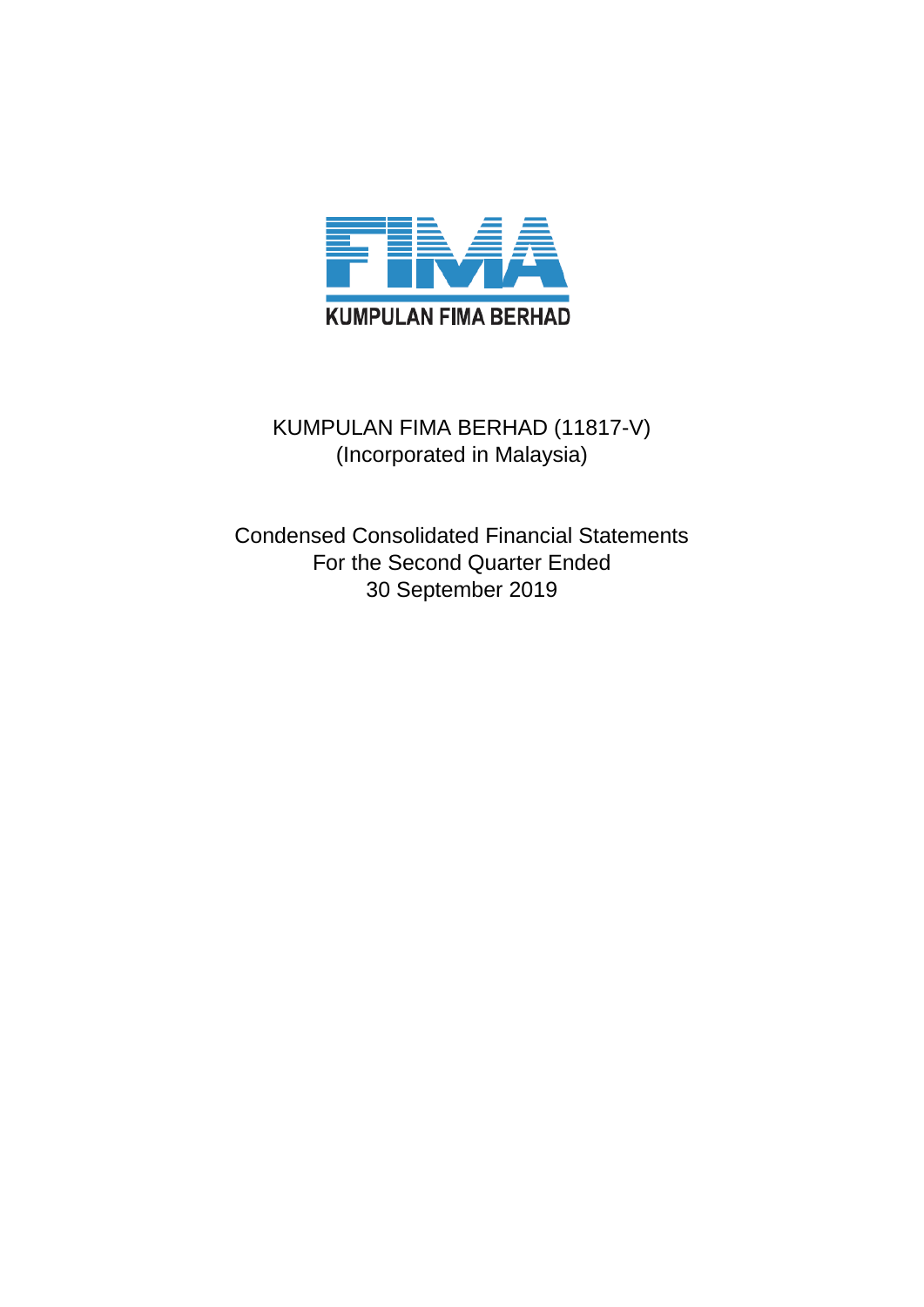

# KUMPULAN FIMA BERHAD (11817-V) (Incorporated in Malaysia)

Condensed Consolidated Financial Statements For the Second Quarter Ended 30 September 2019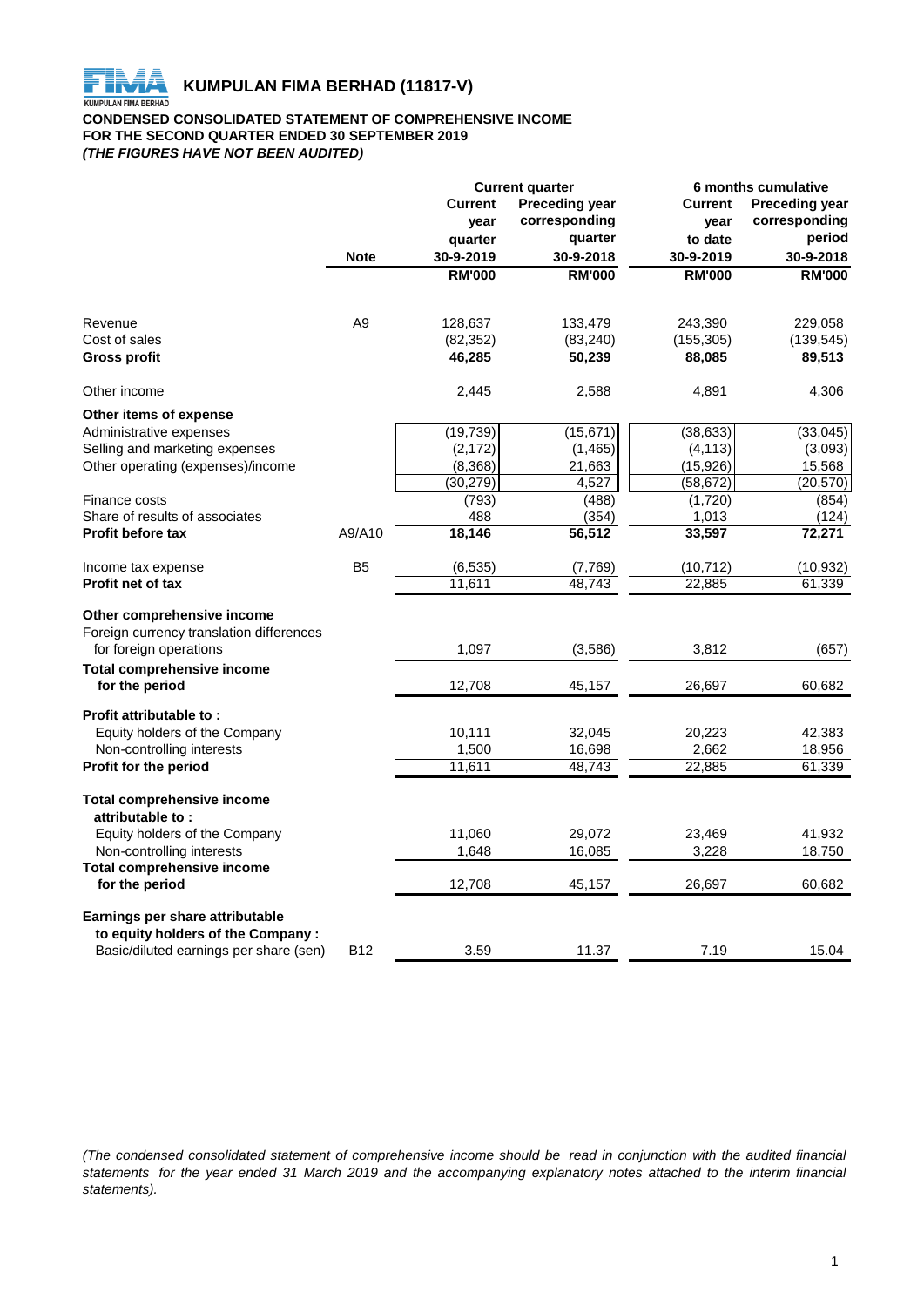

**KUMPULAN FIMA BERHAD (11817-V)**<br>KUMPULAN FIMA BERHAD

#### **CONDENSED CONSOLIDATED STATEMENT OF COMPREHENSIVE INCOME FOR THE SECOND QUARTER ENDED 30 SEPTEMBER 2019** *(THE FIGURES HAVE NOT BEEN AUDITED)*

|                                                       |                | <b>Current quarter</b> |                       | 6 months cumulative  |                       |  |
|-------------------------------------------------------|----------------|------------------------|-----------------------|----------------------|-----------------------|--|
|                                                       |                | <b>Current</b>         | <b>Preceding year</b> | <b>Current</b>       | <b>Preceding year</b> |  |
|                                                       |                | year                   | corresponding         | year                 | corresponding         |  |
|                                                       |                | quarter                | quarter               | to date<br>30-9-2019 | period                |  |
|                                                       | <b>Note</b>    | 30-9-2019              | 30-9-2018             |                      | 30-9-2018             |  |
|                                                       |                | <b>RM'000</b>          | <b>RM'000</b>         | <b>RM'000</b>        | <b>RM'000</b>         |  |
|                                                       |                |                        |                       |                      |                       |  |
| Revenue                                               | A <sub>9</sub> | 128,637                | 133,479               | 243,390              | 229,058               |  |
| Cost of sales                                         |                | (82, 352)              | (83, 240)             | (155, 305)           | (139, 545)            |  |
| Gross profit                                          |                | 46,285                 | 50,239                | 88,085               | 89,513                |  |
| Other income                                          |                | 2,445                  | 2,588                 | 4,891                | 4,306                 |  |
| Other items of expense                                |                |                        |                       |                      |                       |  |
| Administrative expenses                               |                | (19, 739)              | (15, 671)             | (38, 633)            | (33,045)              |  |
| Selling and marketing expenses                        |                | (2, 172)               | (1, 465)              | (4, 113)             | (3,093)               |  |
| Other operating (expenses)/income                     |                | (8,368)                | 21,663                | (15, 926)            | 15,568                |  |
|                                                       |                | (30, 279)              | 4,527                 | (58, 672)            | (20, 570)             |  |
| Finance costs                                         |                | (793)                  | (488)                 | (1,720)              | (854)                 |  |
| Share of results of associates                        |                | 488                    | (354)                 | 1,013                | (124)                 |  |
| <b>Profit before tax</b>                              | A9/A10         | 18,146                 | 56,512                | 33,597               | 72,271                |  |
| Income tax expense                                    | B <sub>5</sub> | (6, 535)               | (7,769)               | (10, 712)            | (10,932)              |  |
| <b>Profit net of tax</b>                              |                | 11,611                 | 48,743                | 22,885               | 61,339                |  |
| Other comprehensive income                            |                |                        |                       |                      |                       |  |
| Foreign currency translation differences              |                |                        |                       |                      |                       |  |
| for foreign operations                                |                | 1,097                  | (3,586)               | 3,812                | (657)                 |  |
| <b>Total comprehensive income</b>                     |                |                        |                       |                      |                       |  |
| for the period                                        |                | 12,708                 | 45,157                | 26,697               | 60,682                |  |
| Profit attributable to:                               |                |                        |                       |                      |                       |  |
| Equity holders of the Company                         |                | 10,111                 | 32,045                | 20,223               | 42,383                |  |
| Non-controlling interests                             |                | 1,500                  | 16,698                | 2,662                | 18,956                |  |
| Profit for the period                                 |                | 11,611                 | 48,743                | 22,885               | 61,339                |  |
| <b>Total comprehensive income</b><br>attributable to: |                |                        |                       |                      |                       |  |
|                                                       |                |                        |                       |                      | 41,932                |  |
| Equity holders of the Company                         |                | 11,060                 | 29,072                | 23,469               |                       |  |
| Non-controlling interests                             |                | 1,648                  | 16,085                | 3,228                | 18,750                |  |
| <b>Total comprehensive income</b><br>for the period   |                | 12,708                 | 45,157                | 26,697               | 60,682                |  |
| Earnings per share attributable                       |                |                        |                       |                      |                       |  |
| to equity holders of the Company :                    |                |                        |                       |                      |                       |  |
| Basic/diluted earnings per share (sen)                | <b>B12</b>     | 3.59                   | 11.37                 | 7.19                 | 15.04                 |  |

(The condensed consolidated statement of comprehensive income should be read in conjunction with the audited financial statements for the year ended 31 March 2019 and the accompanying explanatory notes attached to the interim financial *statements).*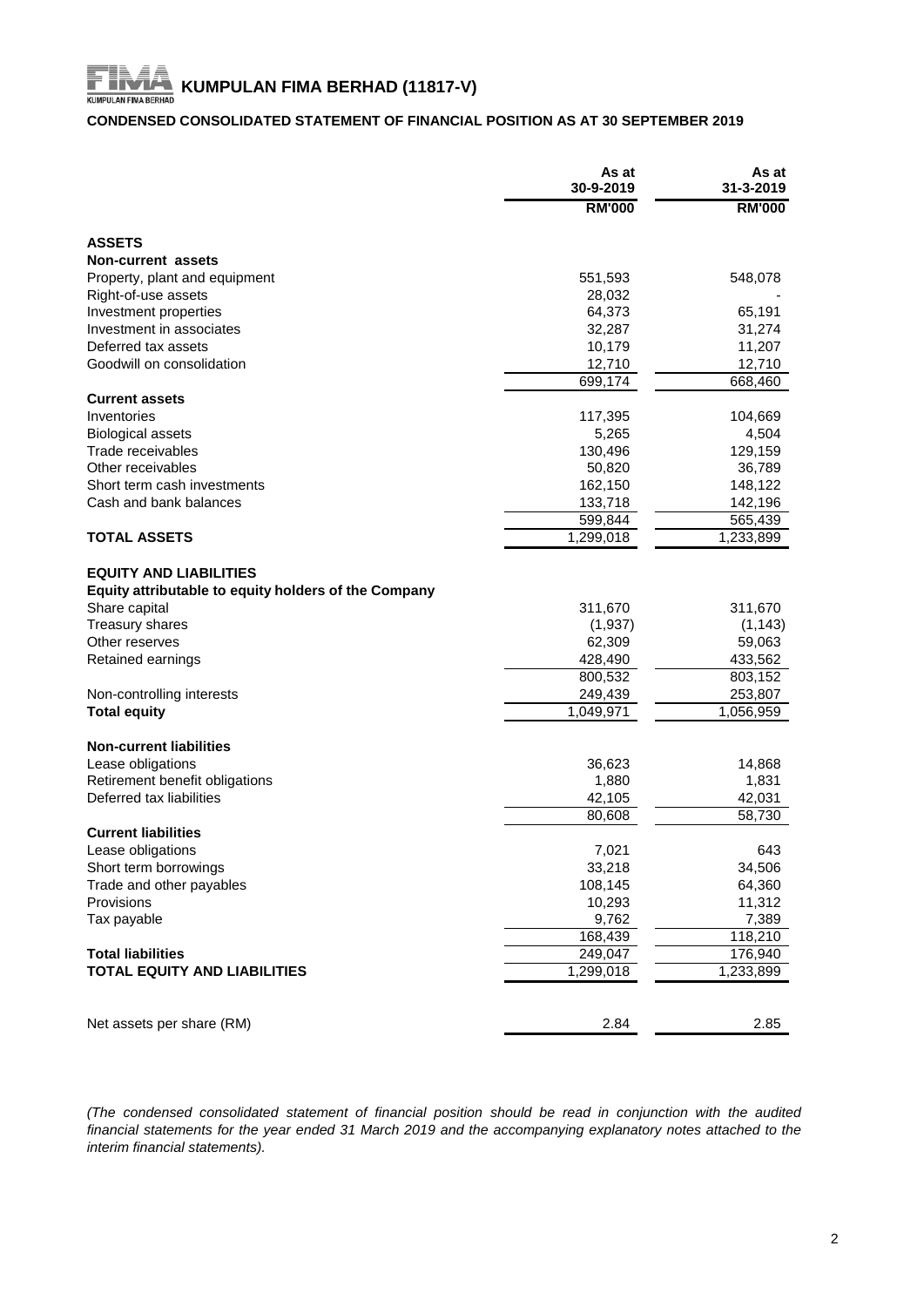# **KUMPULAN FIMA BERHAD (11817-V)**<br>KUMPULAN FIMA BERHAD (11817-V)

# **CONDENSED CONSOLIDATED STATEMENT OF FINANCIAL POSITION AS AT 30 SEPTEMBER 2019**

|                                                      | As at<br>30-9-2019 | As at<br>31-3-2019 |
|------------------------------------------------------|--------------------|--------------------|
|                                                      | <b>RM'000</b>      | <b>RM'000</b>      |
| <b>ASSETS</b>                                        |                    |                    |
| Non-current assets                                   |                    |                    |
| Property, plant and equipment                        | 551,593            | 548,078            |
| Right-of-use assets                                  | 28,032             |                    |
| Investment properties                                | 64,373             | 65,191             |
| Investment in associates                             | 32,287             | 31,274             |
| Deferred tax assets                                  | 10,179             | 11,207             |
| Goodwill on consolidation                            | 12,710             | 12,710             |
|                                                      | 699,174            | 668,460            |
| <b>Current assets</b>                                |                    |                    |
| Inventories                                          | 117,395            | 104,669            |
| <b>Biological assets</b>                             | 5,265              | 4,504              |
| Trade receivables                                    | 130,496            | 129,159            |
| Other receivables                                    | 50,820             | 36,789             |
| Short term cash investments                          | 162,150            | 148,122            |
| Cash and bank balances                               | 133,718            | 142,196            |
|                                                      | 599,844            | 565,439            |
| <b>TOTAL ASSETS</b>                                  | 1,299,018          | 1,233,899          |
|                                                      |                    |                    |
| <b>EQUITY AND LIABILITIES</b>                        |                    |                    |
| Equity attributable to equity holders of the Company |                    |                    |
| Share capital                                        | 311,670            | 311,670            |
| <b>Treasury shares</b>                               | (1,937)            | (1, 143)           |
| Other reserves                                       | 62,309             | 59,063             |
| Retained earnings                                    | 428,490            | 433,562            |
|                                                      | 800,532            | 803,152            |
| Non-controlling interests                            | 249,439            | 253,807            |
| <b>Total equity</b>                                  | 1,049,971          | 1,056,959          |
|                                                      |                    |                    |
| <b>Non-current liabilities</b>                       |                    |                    |
| Lease obligations                                    | 36,623             | 14,868             |
| Retirement benefit obligations                       | 1,880              | 1,831              |
| Deferred tax liabilities                             | 42,105             | 42,031             |
|                                                      | 80,608             | 58,730             |
| <b>Current liabilities</b>                           |                    |                    |
| Lease obligations                                    | 7,021              | 643                |
| Short term borrowings                                | 33,218             | 34,506             |
| Trade and other payables                             | 108,145            | 64,360             |
| Provisions                                           | 10,293             | 11,312             |
| Tax payable                                          | 9,762              | 7,389              |
|                                                      | 168,439            | 118,210            |
| <b>Total liabilities</b>                             | 249,047            | 176,940            |
| <b>TOTAL EQUITY AND LIABILITIES</b>                  | 1,299,018          | 1,233,899          |
|                                                      |                    |                    |
| Net assets per share (RM)                            | 2.84               | 2.85               |

*(The condensed consolidated statement of financial position should be read in conjunction with the audited* financial statements for the year ended 31 March 2019 and the accompanying explanatory notes attached to the *interim financial statements).*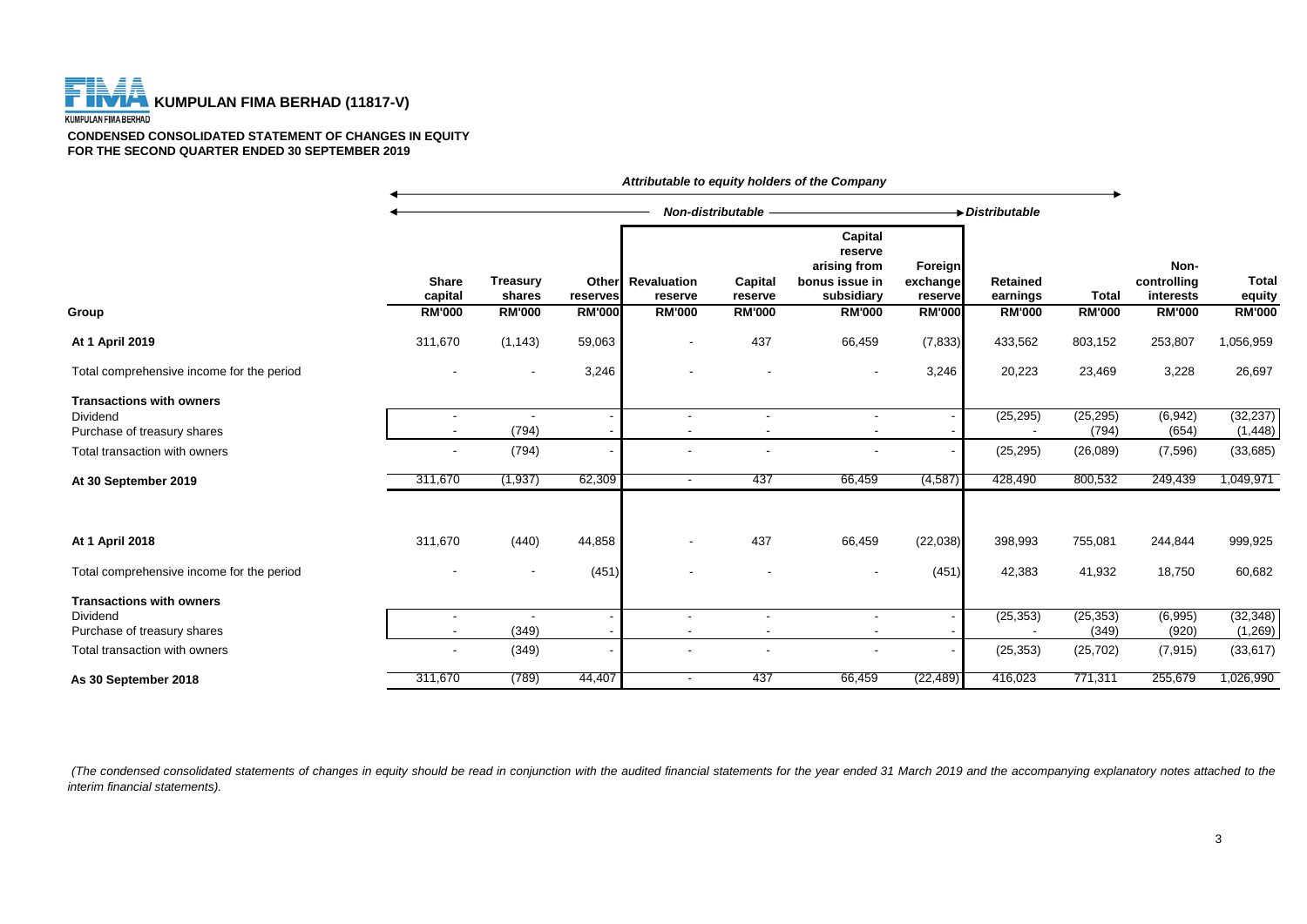# **THE FILAT KUMPULAN FIMA BERHAD (11817-V)**

#### **CONDENSED CONSOLIDATED STATEMENT OF CHANGES IN EQUITY FOR THE SECOND QUARTER ENDED 30 SEPTEMBER 2019**

|                                                |                                                      |                                            |                                    |                                                | Non-distributable                   |                                                                                     |                                                        | Distributable                                |                               |                                                   |                                         |
|------------------------------------------------|------------------------------------------------------|--------------------------------------------|------------------------------------|------------------------------------------------|-------------------------------------|-------------------------------------------------------------------------------------|--------------------------------------------------------|----------------------------------------------|-------------------------------|---------------------------------------------------|-----------------------------------------|
| Group                                          | <b>Share</b><br>capital<br><b>RM'000</b>             | <b>Treasury</b><br>shares<br><b>RM'000</b> | Other<br>reserves<br><b>RM'000</b> | <b>Revaluation</b><br>reserve<br><b>RM'000</b> | Capital<br>reserve<br><b>RM'000</b> | Capital<br>reserve<br>arising from<br>bonus issue in<br>subsidiary<br><b>RM'000</b> | <b>Foreign</b><br>exchange<br>reserve<br><b>RM'000</b> | <b>Retained</b><br>earnings<br><b>RM'000</b> | <b>Total</b><br><b>RM'000</b> | Non-<br>controlling<br>interests<br><b>RM'000</b> | <b>Total</b><br>equity<br><b>RM'000</b> |
|                                                |                                                      |                                            |                                    |                                                |                                     |                                                                                     |                                                        |                                              |                               |                                                   |                                         |
| At 1 April 2019                                | 311,670                                              | (1, 143)                                   | 59,063                             | $\overline{\phantom{a}}$                       | 437                                 | 66,459                                                                              | (7, 833)                                               | 433,562                                      | 803,152                       | 253,807                                           | 1,056,959                               |
| Total comprehensive income for the period      |                                                      |                                            | 3,246                              |                                                |                                     |                                                                                     | 3,246                                                  | 20,223                                       | 23,469                        | 3,228                                             | 26,697                                  |
| <b>Transactions with owners</b>                |                                                      |                                            |                                    |                                                |                                     |                                                                                     |                                                        |                                              |                               |                                                   |                                         |
| <b>Dividend</b><br>Purchase of treasury shares | $\overline{\phantom{a}}$<br>$\overline{\phantom{a}}$ | (794)                                      |                                    |                                                | $\overline{\phantom{a}}$            |                                                                                     |                                                        | (25, 295)                                    | (25, 295)<br>(794)            | (6, 942)<br>(654)                                 | (32, 237)<br>(1, 448)                   |
| Total transaction with owners                  | $\overline{\phantom{a}}$                             | (794)                                      | $\overline{\phantom{a}}$           |                                                |                                     |                                                                                     | $\overline{\phantom{a}}$                               | (25, 295)                                    | (26,089)                      | (7,596)                                           | (33,685)                                |
| At 30 September 2019                           | 311,670                                              | (1, 937)                                   | 62,309                             | $\sim$                                         | 437                                 | 66,459                                                                              | (4, 587)                                               | 428,490                                      | 800,532                       | 249,439                                           | 1,049,971                               |
| At 1 April 2018                                | 311,670                                              | (440)                                      | 44,858                             | $\blacksquare$                                 | 437                                 | 66,459                                                                              | (22, 038)                                              | 398,993                                      | 755,081                       | 244,844                                           | 999,925                                 |
| Total comprehensive income for the period      |                                                      | $\overline{\phantom{a}}$                   | (451)                              |                                                |                                     |                                                                                     | (451)                                                  | 42,383                                       | 41,932                        | 18,750                                            | 60,682                                  |
| <b>Transactions with owners</b>                |                                                      |                                            |                                    |                                                |                                     |                                                                                     |                                                        |                                              |                               |                                                   |                                         |
| Dividend<br>Purchase of treasury shares        | $\overline{\phantom{a}}$<br>$\blacksquare$           | (349)                                      |                                    | $\overline{\phantom{a}}$                       | $\blacksquare$                      | $\sim$                                                                              |                                                        | (25, 353)                                    | (25, 353)<br>(349)            | (6,995)<br>(920)                                  | (32, 348)<br>(1,269)                    |
| Total transaction with owners                  |                                                      | (349)                                      | $\blacksquare$                     |                                                |                                     | $\overline{\phantom{a}}$                                                            | $\overline{\phantom{a}}$                               | (25, 353)                                    | (25, 702)                     | (7, 915)                                          | (33, 617)                               |
| As 30 September 2018                           | 311,670                                              | (789)                                      | 44,407                             | $\overline{\phantom{a}}$                       | 437                                 | 66,459                                                                              | (22, 489)                                              | 416,023                                      | 771,311                       | 255,679                                           | 1,026,990                               |

*Attributable to equity holders of the Company*

(The condensed consolidated statements of changes in equity should be read in conjunction with the audited financial statements for the year ended 31 March 2019 and the accompanying explanatory notes attached to the *interim financial statements).*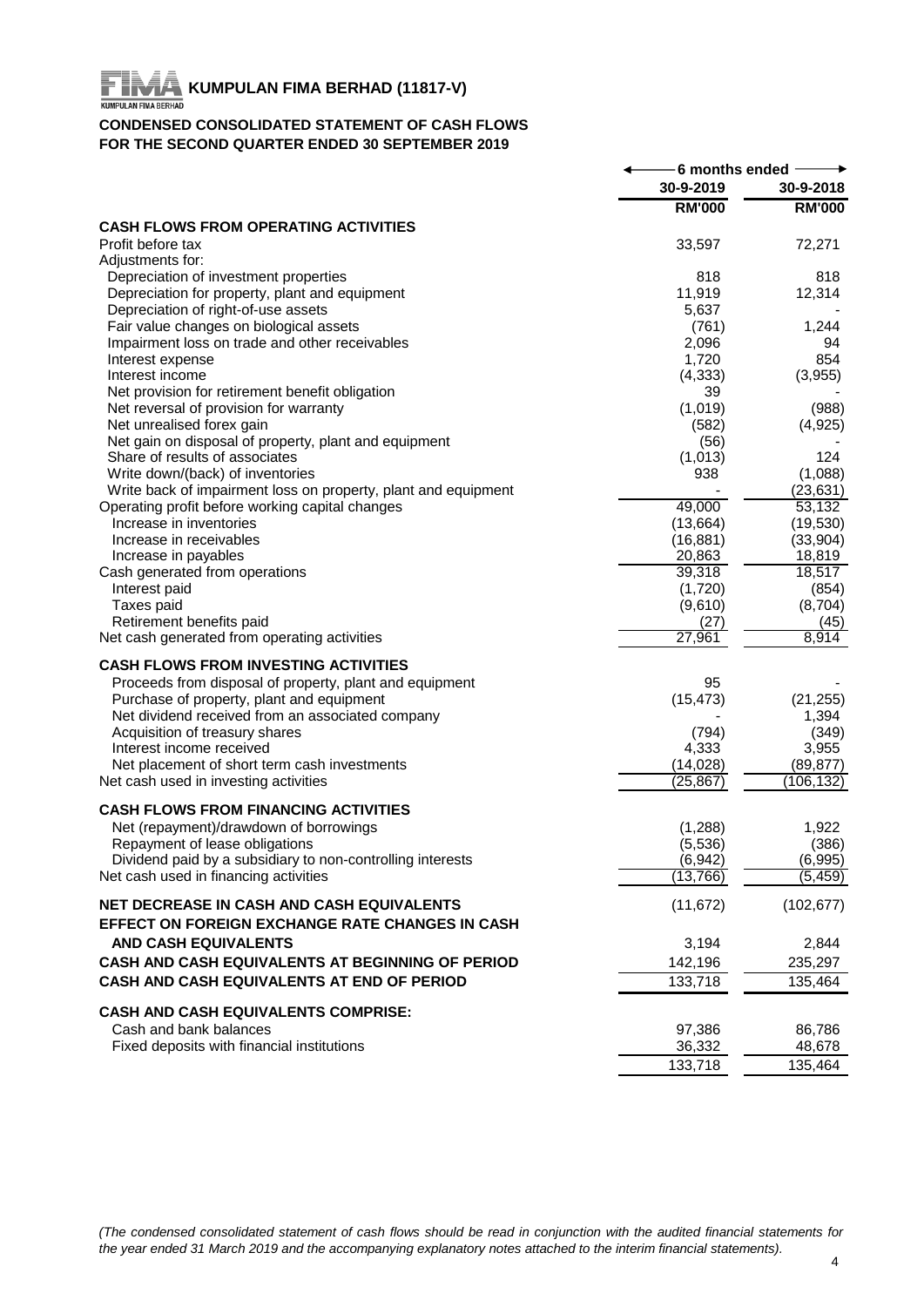# FIR **KUMPULAN FIMA BERHAD (11817-V)**<br>KUMPULAN FIMA BERHAD (11817-V)

# **CONDENSED CONSOLIDATED STATEMENT OF CASH FLOWS FOR THE SECOND QUARTER ENDED 30 SEPTEMBER 2019**

|                                                                                                    | 6 months ended     |                      |
|----------------------------------------------------------------------------------------------------|--------------------|----------------------|
|                                                                                                    | 30-9-2019          | 30-9-2018            |
|                                                                                                    | <b>RM'000</b>      | <b>RM'000</b>        |
| <b>CASH FLOWS FROM OPERATING ACTIVITIES</b>                                                        |                    |                      |
| Profit before tax<br>Adjustments for:                                                              | 33,597             | 72,271               |
| Depreciation of investment properties                                                              | 818                | 818                  |
| Depreciation for property, plant and equipment                                                     | 11,919             | 12,314               |
| Depreciation of right-of-use assets                                                                | 5,637              |                      |
| Fair value changes on biological assets                                                            | (761)              | 1,244                |
| Impairment loss on trade and other receivables                                                     | 2,096              | 94                   |
| Interest expense                                                                                   | 1,720              | 854                  |
| Interest income                                                                                    | (4, 333)           | (3,955)              |
| Net provision for retirement benefit obligation                                                    | 39                 |                      |
| Net reversal of provision for warranty                                                             | (1,019)            | (988)                |
| Net unrealised forex gain                                                                          | (582)              | (4,925)              |
| Net gain on disposal of property, plant and equipment                                              | (56)               |                      |
| Share of results of associates                                                                     | (1,013)            | 124                  |
| Write down/(back) of inventories<br>Write back of impairment loss on property, plant and equipment | 938                | (1,088)<br>(23, 631) |
| Operating profit before working capital changes                                                    | 49,000             | 53,132               |
| Increase in inventories                                                                            | (13,664)           | (19, 530)            |
| Increase in receivables                                                                            | (16, 881)          | (33,904)             |
| Increase in payables                                                                               | 20,863             | 18,819               |
| Cash generated from operations                                                                     | 39,318             | 18,517               |
| Interest paid                                                                                      | (1,720)            | (854)                |
| Taxes paid                                                                                         | (9,610)            | (8,704)              |
| Retirement benefits paid                                                                           | (27)               | (45)                 |
| Net cash generated from operating activities                                                       | 27,961             | 8,914                |
| <b>CASH FLOWS FROM INVESTING ACTIVITIES</b>                                                        |                    |                      |
| Proceeds from disposal of property, plant and equipment                                            | 95                 |                      |
| Purchase of property, plant and equipment                                                          | (15, 473)          | (21, 255)            |
| Net dividend received from an associated company                                                   |                    | 1,394                |
| Acquisition of treasury shares                                                                     | (794)              | (349)                |
| Interest income received                                                                           | 4,333              | 3,955                |
| Net placement of short term cash investments                                                       | (14, 028)          | (89, 877)            |
| Net cash used in investing activities                                                              | (25, 867)          | (106, 132)           |
| <b>CASH FLOWS FROM FINANCING ACTIVITIES</b>                                                        |                    |                      |
| Net (repayment)/drawdown of borrowings                                                             | (1,288)            | 1,922                |
| Repayment of lease obligations                                                                     | (5, 536)           | (386)                |
| Dividend paid by a subsidiary to non-controlling interests                                         | (6, 942)           | (6,995)              |
| Net cash used in financing activities                                                              | (13, 766)          | (5, 459)             |
| NET DECREASE IN CASH AND CASH EQUIVALENTS                                                          | (11, 672)          | (102, 677)           |
| EFFECT ON FOREIGN EXCHANGE RATE CHANGES IN CASH                                                    |                    |                      |
| <b>AND CASH EQUIVALENTS</b>                                                                        | 3,194              | 2,844                |
| CASH AND CASH EQUIVALENTS AT BEGINNING OF PERIOD                                                   |                    | 235,297              |
| CASH AND CASH EQUIVALENTS AT END OF PERIOD                                                         | 142,196<br>133,718 | 135,464              |
|                                                                                                    |                    |                      |
| <b>CASH AND CASH EQUIVALENTS COMPRISE:</b>                                                         |                    |                      |
| Cash and bank balances                                                                             | 97,386             | 86,786               |
| Fixed deposits with financial institutions                                                         | 36,332             | 48,678               |
|                                                                                                    | 133,718            | 135,464              |

(The condensed consolidated statement of cash flows should be read in conjunction with the audited financial statements for *the year ended 31 March 2019 and the accompanying explanatory notes attached to the interim financial statements).*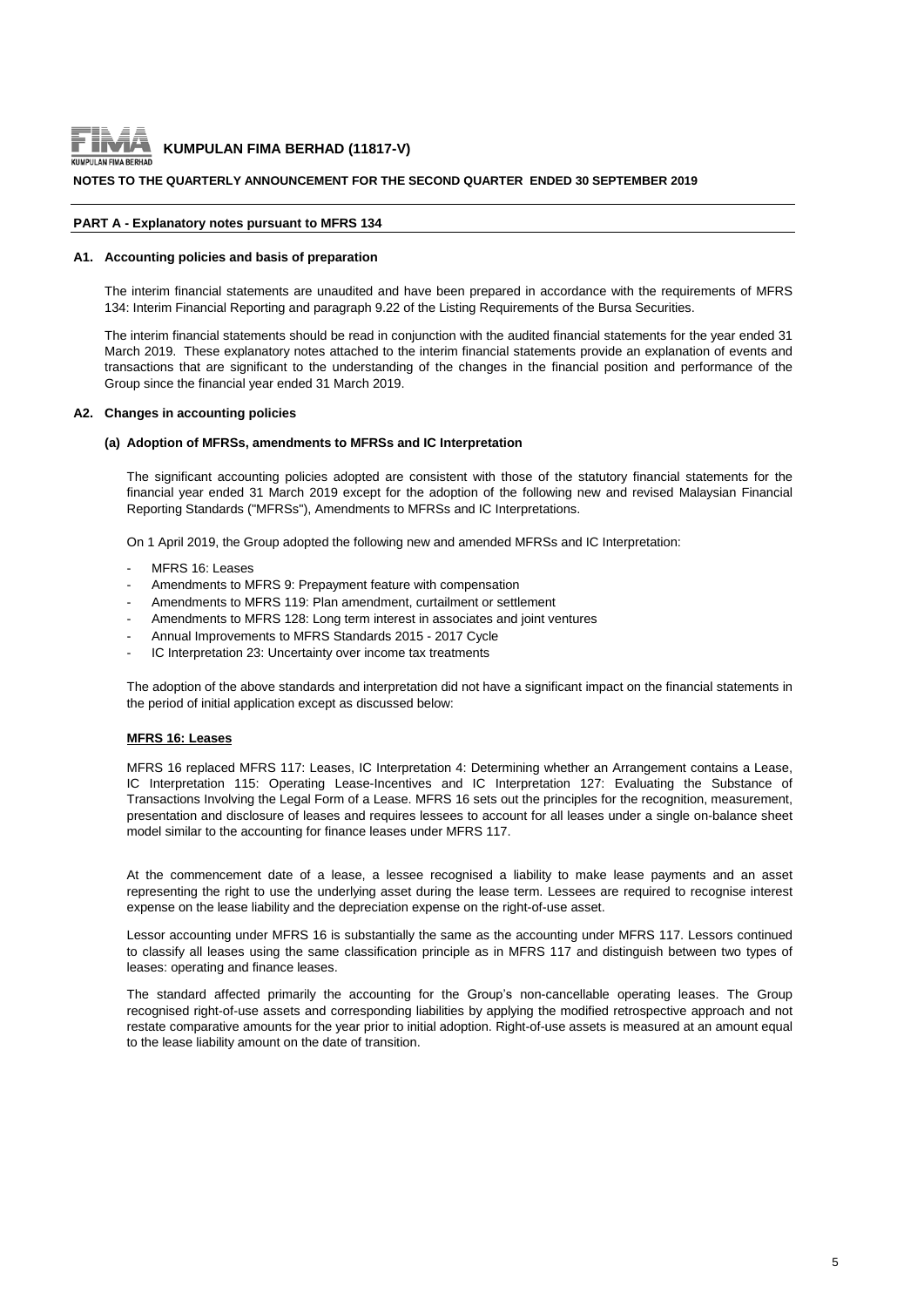

#### **NOTES TO THE QUARTERLY ANNOUNCEMENT FOR THE SECOND QUARTER ENDED 30 SEPTEMBER 2019**

#### **PART A - Explanatory notes pursuant to MFRS 134**

#### **A1. Accounting policies and basis of preparation**

The interim financial statements are unaudited and have been prepared in accordance with the requirements of MFRS 134: Interim Financial Reporting and paragraph 9.22 of the Listing Requirements of the Bursa Securities.

The interim financial statements should be read in conjunction with the audited financial statements for the year ended 31 March 2019. These explanatory notes attached to the interim financial statements provide an explanation of events and transactions that are significant to the understanding of the changes in the financial position and performance of the Group since the financial year ended 31 March 2019.

#### **A2. Changes in accounting policies**

#### **(a) Adoption of MFRSs, amendments to MFRSs and IC Interpretation**

The significant accounting policies adopted are consistent with those of the statutory financial statements for the financial year ended 31 March 2019 except for the adoption of the following new and revised Malaysian Financial Reporting Standards ("MFRSs"), Amendments to MFRSs and IC Interpretations.

On 1 April 2019, the Group adopted the following new and amended MFRSs and IC Interpretation:

- MERS 16: Leases
- Amendments to MFRS 9: Prepayment feature with compensation
- Amendments to MFRS 119: Plan amendment, curtailment or settlement
- Amendments to MFRS 128: Long term interest in associates and joint ventures
- Annual Improvements to MFRS Standards 2015 2017 Cycle
- IC Interpretation 23: Uncertainty over income tax treatments

The adoption of the above standards and interpretation did not have a significant impact on the financial statements in the period of initial application except as discussed below:

#### **MFRS 16: Leases**

MFRS 16 replaced MFRS 117: Leases, IC Interpretation 4: Determining whether an Arrangement contains a Lease, IC Interpretation 115: Operating Lease-Incentives and IC Interpretation 127: Evaluating the Substance of Transactions Involving the Legal Form of a Lease. MFRS 16 sets out the principles for the recognition, measurement, presentation and disclosure of leases and requires lessees to account for all leases under a single on-balance sheet model similar to the accounting for finance leases under MFRS 117.

At the commencement date of a lease, a lessee recognised a liability to make lease payments and an asset representing the right to use the underlying asset during the lease term. Lessees are required to recognise interest expense on the lease liability and the depreciation expense on the right-of-use asset.

Lessor accounting under MFRS 16 is substantially the same as the accounting under MFRS 117. Lessors continued to classify all leases using the same classification principle as in MFRS 117 and distinguish between two types of leases: operating and finance leases.

The standard affected primarily the accounting for the Group's non-cancellable operating leases. The Group recognised right-of-use assets and corresponding liabilities by applying the modified retrospective approach and not restate comparative amounts for the year prior to initial adoption. Right-of-use assets is measured at an amount equal to the lease liability amount on the date of transition.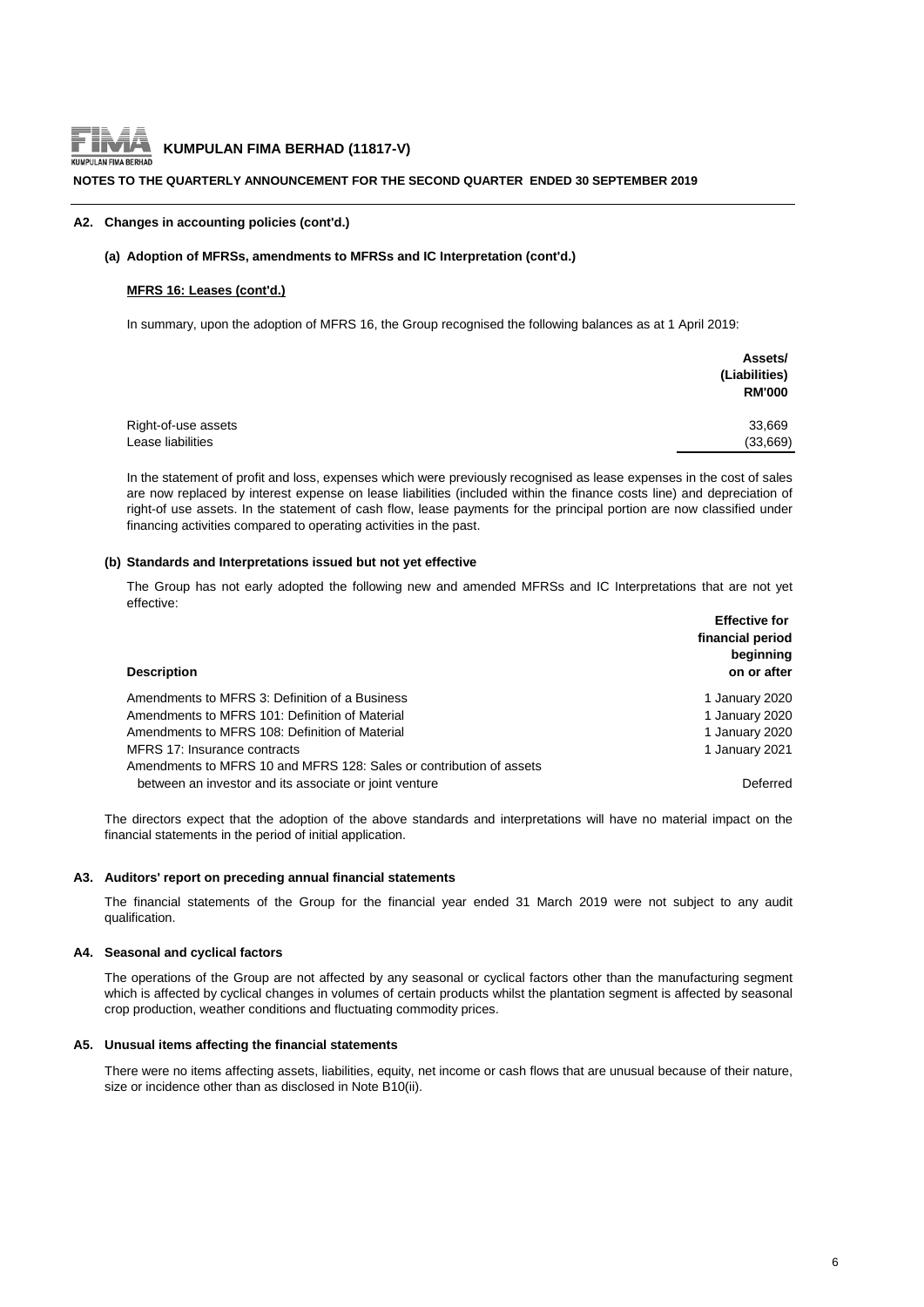

#### **NOTES TO THE QUARTERLY ANNOUNCEMENT FOR THE SECOND QUARTER ENDED 30 SEPTEMBER 2019**

#### **A2. Changes in accounting policies (cont'd.)**

#### **(a) Adoption of MFRSs, amendments to MFRSs and IC Interpretation (cont'd.)**

#### **MFRS 16: Leases (cont'd.)**

In summary, upon the adoption of MFRS 16, the Group recognised the following balances as at 1 April 2019:

|                     | Assets/<br>(Liabilities)<br><b>RM'000</b> |
|---------------------|-------------------------------------------|
| Right-of-use assets | 33,669                                    |
| Lease liabilities   | (33,669)                                  |

In the statement of profit and loss, expenses which were previously recognised as lease expenses in the cost of sales are now replaced by interest expense on lease liabilities (included within the finance costs line) and depreciation of right-of use assets. In the statement of cash flow, lease payments for the principal portion are now classified under financing activities compared to operating activities in the past.

#### **(b) Standards and Interpretations issued but not yet effective**

The Group has not early adopted the following new and amended MFRSs and IC Interpretations that are not yet effective:

|                                                                     | <b>Effective for</b><br>financial period<br>beginning |
|---------------------------------------------------------------------|-------------------------------------------------------|
| <b>Description</b>                                                  | on or after                                           |
| Amendments to MFRS 3: Definition of a Business                      | 1 January 2020                                        |
| Amendments to MFRS 101: Definition of Material                      | 1 January 2020                                        |
| Amendments to MFRS 108: Definition of Material                      | 1 January 2020                                        |
| MFRS 17: Insurance contracts                                        | 1 January 2021                                        |
| Amendments to MFRS 10 and MFRS 128: Sales or contribution of assets |                                                       |
| between an investor and its associate or joint venture              | Deferred                                              |

The directors expect that the adoption of the above standards and interpretations will have no material impact on the financial statements in the period of initial application.

#### **A3. Auditors' report on preceding annual financial statements**

The financial statements of the Group for the financial year ended 31 March 2019 were not subject to any audit qualification.

#### **A4. Seasonal and cyclical factors**

The operations of the Group are not affected by any seasonal or cyclical factors other than the manufacturing segment which is affected by cyclical changes in volumes of certain products whilst the plantation segment is affected by seasonal crop production, weather conditions and fluctuating commodity prices.

#### **A5. Unusual items affecting the financial statements**

There were no items affecting assets, liabilities, equity, net income or cash flows that are unusual because of their nature, size or incidence other than as disclosed in Note B10(ii).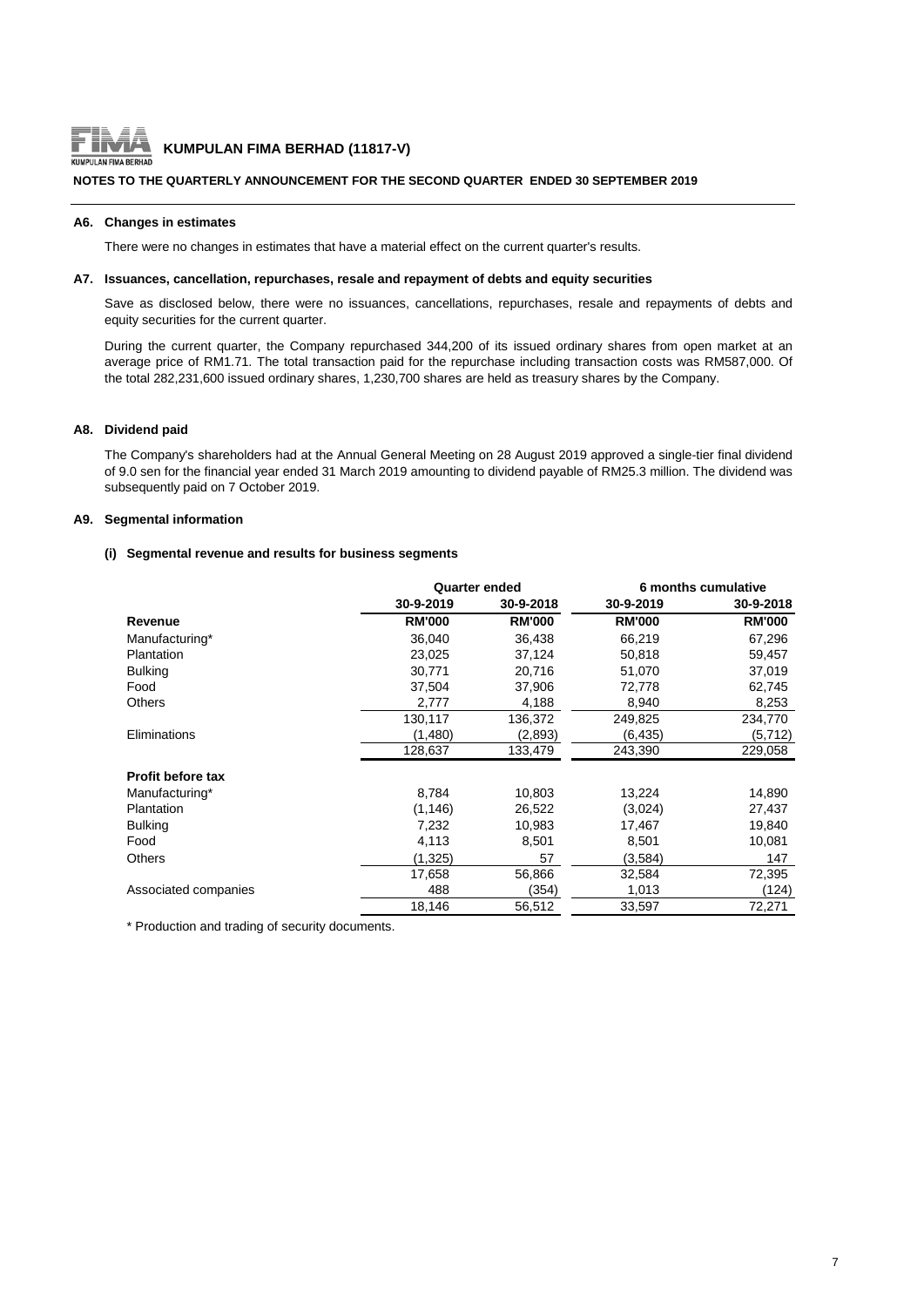

# **KUMPULAN FIMA BERHAD (11817-V)**<br>LANFIMA BERHAD

#### **NOTES TO THE QUARTERLY ANNOUNCEMENT FOR THE SECOND QUARTER ENDED 30 SEPTEMBER 2019**

#### **A6. Changes in estimates**

There were no changes in estimates that have a material effect on the current quarter's results.

#### **A7. Issuances, cancellation, repurchases, resale and repayment of debts and equity securities**

Save as disclosed below, there were no issuances, cancellations, repurchases, resale and repayments of debts and equity securities for the current quarter.

During the current quarter, the Company repurchased 344,200 of its issued ordinary shares from open market at an average price of RM1.71. The total transaction paid for the repurchase including transaction costs was RM587,000. Of the total 282,231,600 issued ordinary shares, 1,230,700 shares are held as treasury shares by the Company.

#### **A8. Dividend paid**

The Company's shareholders had at the Annual General Meeting on 28 August 2019 approved a single-tier final dividend of 9.0 sen for the financial year ended 31 March 2019 amounting to dividend payable of RM25.3 million. The dividend was subsequently paid on 7 October 2019.

#### **A9. Segmental information**

#### **(i) Segmental revenue and results for business segments**

|                          |               | <b>Quarter ended</b> |               | 6 months cumulative |
|--------------------------|---------------|----------------------|---------------|---------------------|
|                          | 30-9-2019     | 30-9-2018            | 30-9-2019     | 30-9-2018           |
| Revenue                  | <b>RM'000</b> | <b>RM'000</b>        | <b>RM'000</b> | <b>RM'000</b>       |
| Manufacturing*           | 36.040        | 36.438               | 66.219        | 67,296              |
| Plantation               | 23,025        | 37,124               | 50,818        | 59,457              |
| <b>Bulking</b>           | 30,771        | 20,716               | 51,070        | 37,019              |
| Food                     | 37,504        | 37,906               | 72,778        | 62,745              |
| <b>Others</b>            | 2,777         | 4,188                | 8,940         | 8,253               |
|                          | 130,117       | 136,372              | 249,825       | 234,770             |
| Eliminations             | (1,480)       | (2,893)              | (6, 435)      | (5, 712)            |
|                          | 128,637       | 133,479              | 243,390       | 229,058             |
| <b>Profit before tax</b> |               |                      |               |                     |
| Manufacturing*           | 8,784         | 10,803               | 13,224        | 14,890              |
| <b>Plantation</b>        | (1, 146)      | 26,522               | (3,024)       | 27,437              |
| <b>Bulking</b>           | 7,232         | 10,983               | 17,467        | 19,840              |
| Food                     | 4,113         | 8,501                | 8,501         | 10,081              |
| <b>Others</b>            | (1,325)       | 57                   | (3,584)       | 147                 |
|                          | 17,658        | 56,866               | 32,584        | 72,395              |
| Associated companies     | 488           | (354)                | 1,013         | (124)               |
|                          | 18,146        | 56,512               | 33,597        | 72,271              |

\* Production and trading of security documents.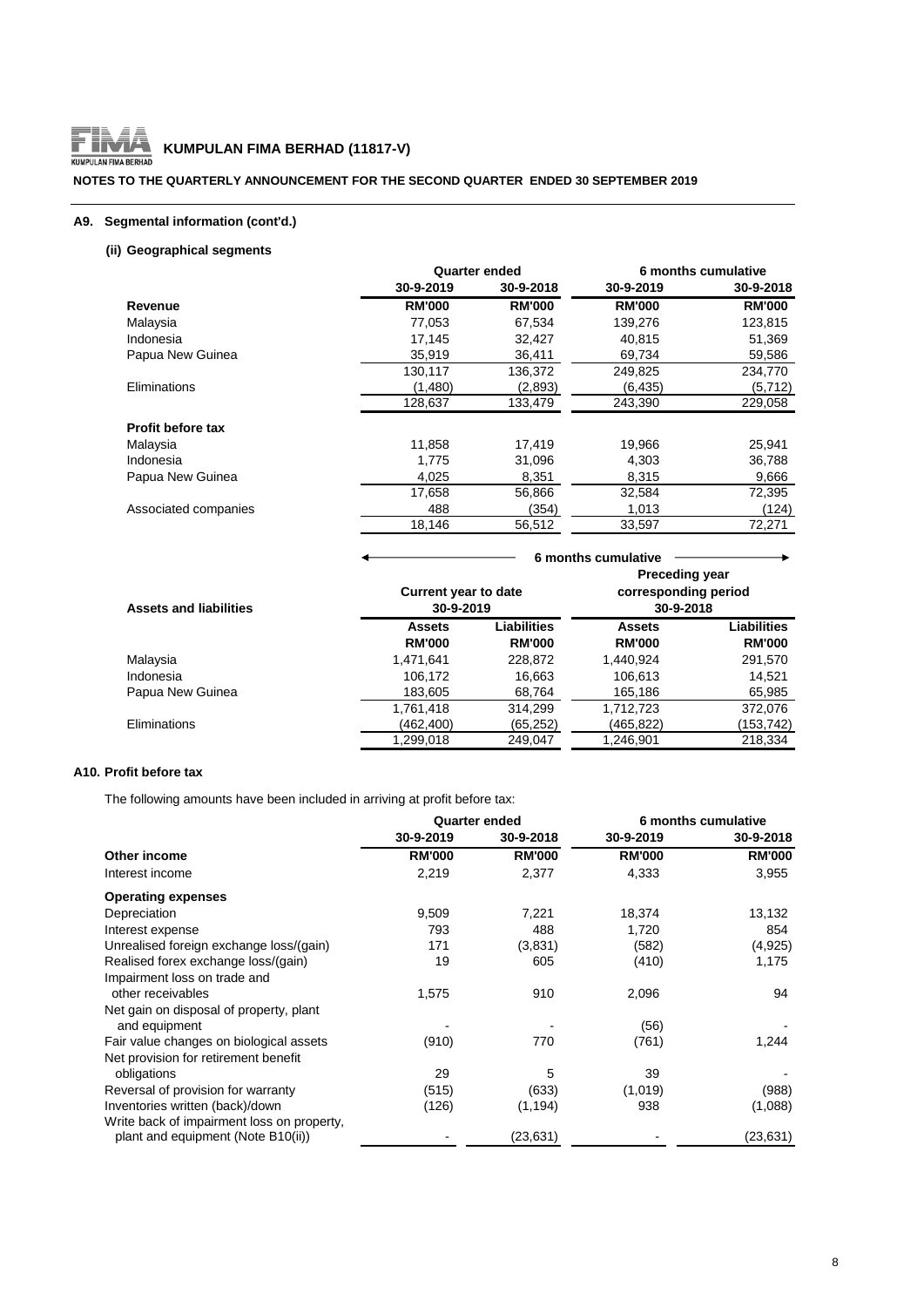

#### **NOTES TO THE QUARTERLY ANNOUNCEMENT FOR THE SECOND QUARTER ENDED 30 SEPTEMBER 2019**

#### **A9. Segmental information (cont'd.)**

# **(ii) Geographical segments**

|                      |               | <b>Quarter ended</b> |               | 6 months cumulative |
|----------------------|---------------|----------------------|---------------|---------------------|
|                      | 30-9-2019     | 30-9-2018            | 30-9-2019     | 30-9-2018           |
| Revenue              | <b>RM'000</b> | <b>RM'000</b>        | <b>RM'000</b> | <b>RM'000</b>       |
| Malaysia             | 77.053        | 67,534               | 139,276       | 123,815             |
| Indonesia            | 17,145        | 32,427               | 40,815        | 51,369              |
| Papua New Guinea     | 35,919        | 36,411               | 69,734        | 59,586              |
|                      | 130,117       | 136,372              | 249,825       | 234,770             |
| Eliminations         | (1,480)       | (2,893)              | (6, 435)      | (5, 712)            |
|                      | 128,637       | 133,479              | 243,390       | 229,058             |
| Profit before tax    |               |                      |               |                     |
| Malaysia             | 11,858        | 17.419               | 19,966        | 25,941              |
| Indonesia            | 1.775         | 31,096               | 4,303         | 36,788              |
| Papua New Guinea     | 4,025         | 8,351                | 8,315         | 9,666               |
|                      | 17.658        | 56,866               | 32,584        | 72,395              |
| Associated companies | 488           | (354)                | 1,013         | (124)               |
|                      | 18,146        | 56,512               | 33,597        | 72,271              |

| <b>Assets and liabilities</b> | <b>Current year to date</b><br>30-9-2019 |                              | <b>Preceding year</b><br>corresponding period<br>30-9-2018 |                              |  |
|-------------------------------|------------------------------------------|------------------------------|------------------------------------------------------------|------------------------------|--|
|                               | <b>Assets</b><br><b>RM'000</b>           | Liabilities<br><b>RM'000</b> | <b>Assets</b><br><b>RM'000</b>                             | Liabilities<br><b>RM'000</b> |  |
| Malaysia                      | 1.471.641                                | 228,872                      | 1.440.924                                                  | 291,570                      |  |
| Indonesia                     | 106,172                                  | 16,663                       | 106,613                                                    | 14.521                       |  |
| Papua New Guinea              | 183,605                                  | 68,764                       | 165,186                                                    | 65,985                       |  |
|                               | 1,761,418                                | 314.299                      | 1,712,723                                                  | 372.076                      |  |
| Eliminations                  | (462,400)                                | (65, 252)                    | (465,822)                                                  | (153,742)                    |  |
|                               | 1.299.018                                | 249.047                      | 1.246.901                                                  | 218.334                      |  |

 **6 months cumulative**

# **A10. Profit before tax**

The following amounts have been included in arriving at profit before tax:

| <b>Quarter ended</b> |               | 6 months cumulative |               |
|----------------------|---------------|---------------------|---------------|
| 30-9-2019            | 30-9-2018     | 30-9-2019           | 30-9-2018     |
| <b>RM'000</b>        | <b>RM'000</b> | <b>RM'000</b>       | <b>RM'000</b> |
| 2,219                | 2,377         | 4,333               | 3,955         |
|                      |               |                     |               |
| 9,509                | 7,221         | 18,374              | 13,132        |
| 793                  | 488           | 1,720               | 854           |
| 171                  | (3,831)       | (582)               | (4,925)       |
| 19                   | 605           | (410)               | 1,175         |
|                      |               |                     |               |
| 1,575                | 910           | 2,096               | 94            |
|                      |               |                     |               |
|                      |               | (56)                |               |
| (910)                | 770           | (761)               | 1,244         |
|                      |               |                     |               |
| 29                   | 5             | 39                  |               |
| (515)                | (633)         | (1,019)             | (988)         |
| (126)                | (1, 194)      | 938                 | (1,088)       |
|                      |               |                     |               |
|                      | (23, 631)     |                     | (23, 631)     |
|                      |               |                     |               |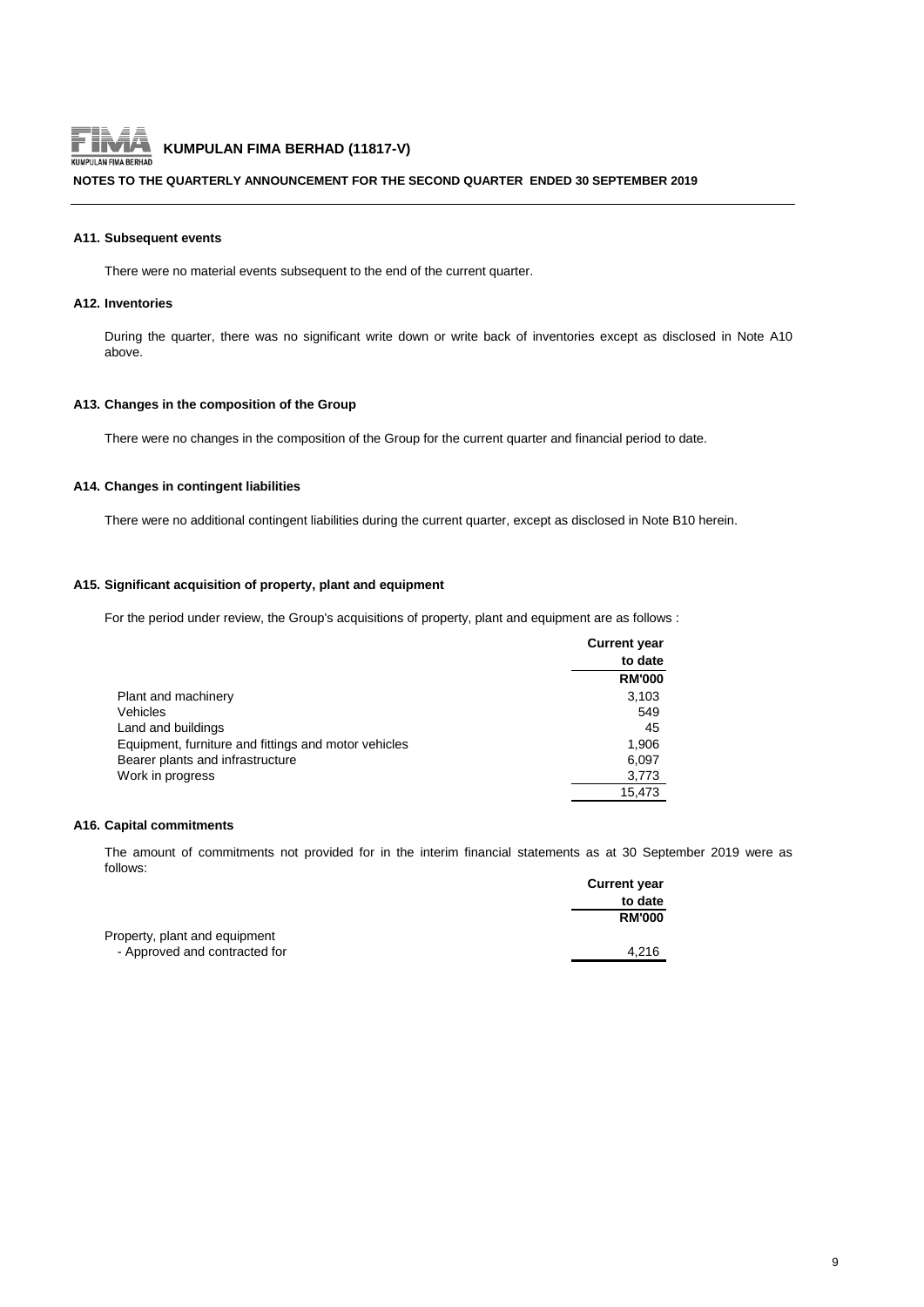

#### **NOTES TO THE QUARTERLY ANNOUNCEMENT FOR THE SECOND QUARTER ENDED 30 SEPTEMBER 2019**

#### **A11. Subsequent events**

There were no material events subsequent to the end of the current quarter.

#### **A12. Inventories**

During the quarter, there was no significant write down or write back of inventories except as disclosed in Note A10 above.

#### **A13. Changes in the composition of the Group**

There were no changes in the composition of the Group for the current quarter and financial period to date.

#### **A14. Changes in contingent liabilities**

There were no additional contingent liabilities during the current quarter, except as disclosed in Note B10 herein.

#### **A15. Significant acquisition of property, plant and equipment**

For the period under review, the Group's acquisitions of property, plant and equipment are as follows :

|                                                      | <b>Current year</b> |
|------------------------------------------------------|---------------------|
|                                                      | to date             |
|                                                      | <b>RM'000</b>       |
| Plant and machinery                                  | 3,103               |
| Vehicles                                             | 549                 |
| Land and buildings                                   | 45                  |
| Equipment, furniture and fittings and motor vehicles | 1,906               |
| Bearer plants and infrastructure                     | 6,097               |
| Work in progress                                     | 3,773               |
|                                                      | 15.473              |

#### **A16. Capital commitments**

The amount of commitments not provided for in the interim financial statements as at 30 September 2019 were as follows:

|                               | <b>Current year</b> |
|-------------------------------|---------------------|
|                               | to date             |
|                               | <b>RM'000</b>       |
| Property, plant and equipment |                     |
| - Approved and contracted for | 4.216               |
|                               |                     |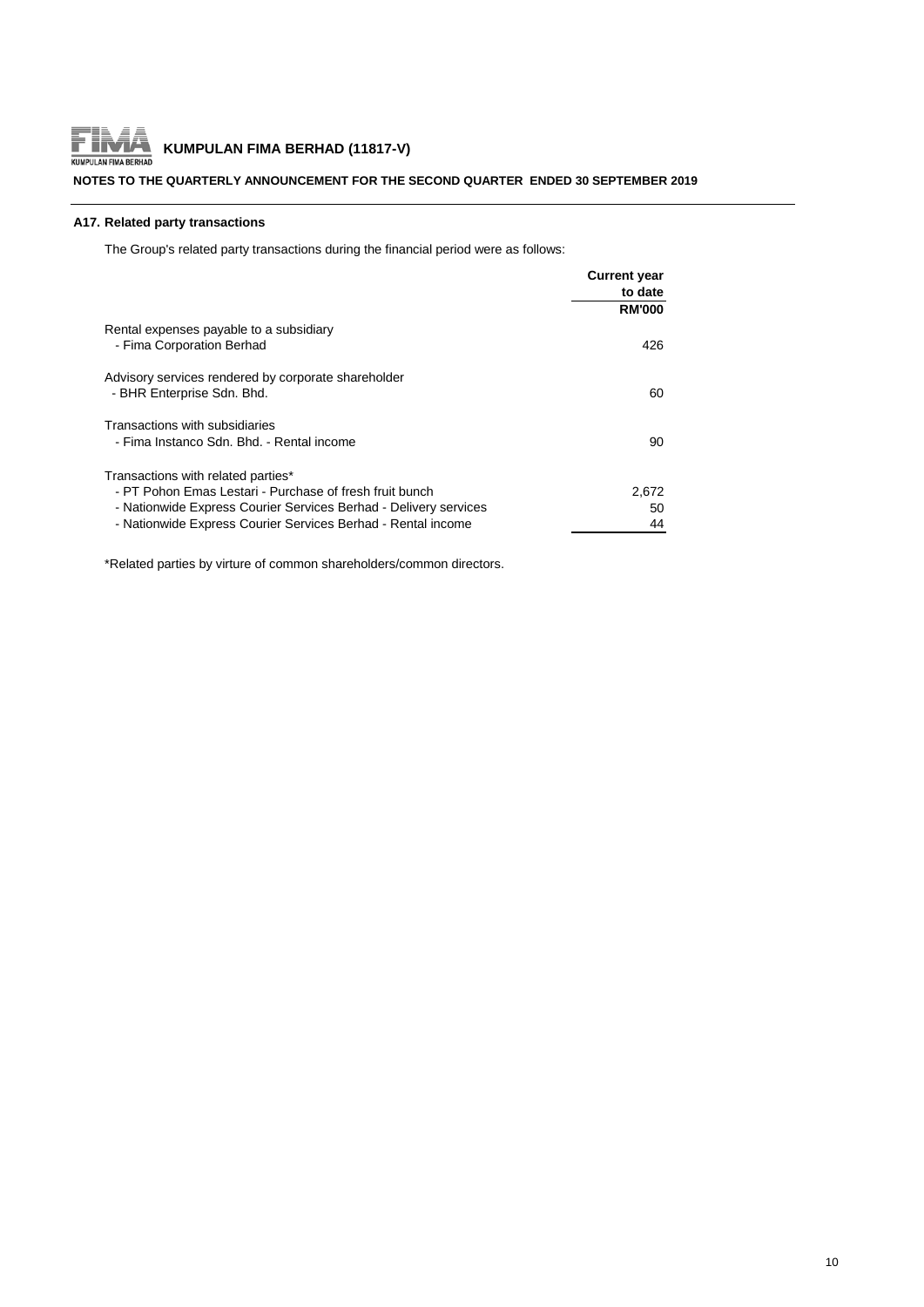

#### **NOTES TO THE QUARTERLY ANNOUNCEMENT FOR THE SECOND QUARTER ENDED 30 SEPTEMBER 2019**

#### **A17. Related party transactions**

The Group's related party transactions during the financial period were as follows:

|                                                                                   | <b>Current year</b> |
|-----------------------------------------------------------------------------------|---------------------|
|                                                                                   | to date             |
|                                                                                   | <b>RM'000</b>       |
| Rental expenses payable to a subsidiary<br>- Fima Corporation Berhad              | 426                 |
| Advisory services rendered by corporate shareholder<br>- BHR Enterprise Sdn. Bhd. | 60                  |
| Transactions with subsidiaries                                                    |                     |
| - Fima Instanco Sdn. Bhd. - Rental income                                         | 90                  |
| Transactions with related parties*                                                |                     |
| - PT Pohon Emas Lestari - Purchase of fresh fruit bunch                           | 2.672               |
| - Nationwide Express Courier Services Berhad - Delivery services                  | 50                  |
| - Nationwide Express Courier Services Berhad - Rental income                      | 44                  |

\*Related parties by virture of common shareholders/common directors.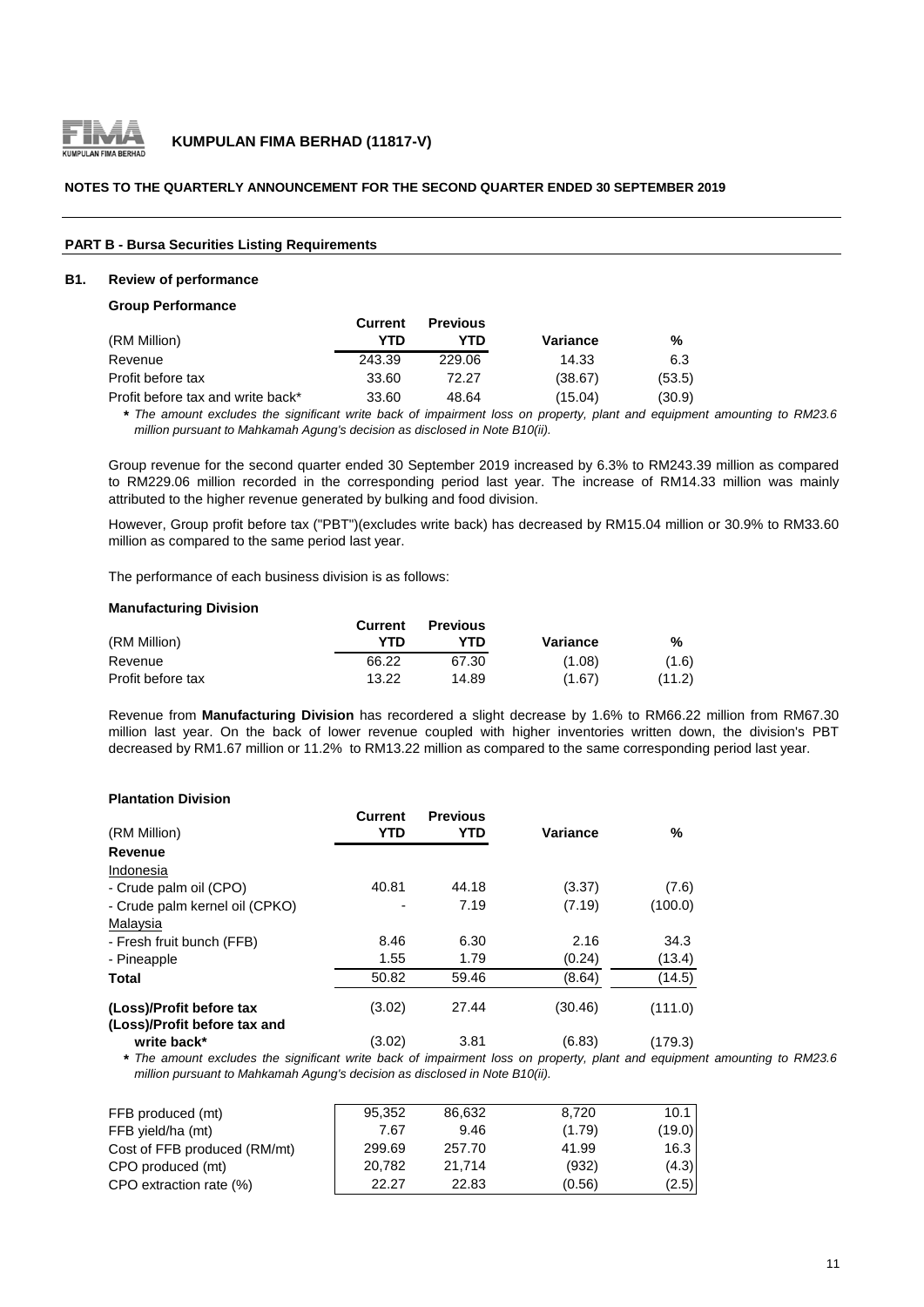

#### **NOTES TO THE QUARTERLY ANNOUNCEMENT FOR THE SECOND QUARTER ENDED 30 SEPTEMBER 2019**

#### **PART B - Bursa Securities Listing Requirements**

#### **B1. Review of performance**

#### **Group Performance**

|                                   | Current | <b>Previous</b> |          |        |
|-----------------------------------|---------|-----------------|----------|--------|
| (RM Million)                      | YTD     | YTD             | Variance | %      |
| Revenue                           | 243.39  | 229.06          | 14.33    | 6.3    |
| Profit before tax                 | 33.60   | 72.27           | (38.67)  | (53.5) |
| Profit before tax and write back* | 33.60   | 48.64           | (15.04)  | (30.9) |

\* The amount excludes the significant write back of impairment loss on property, plant and equipment amounting to RM23.6 *million pursuant to Mahkamah Agung's decision as disclosed in Note B10(ii).*

Group revenue for the second quarter ended 30 September 2019 increased by 6.3% to RM243.39 million as compared to RM229.06 million recorded in the corresponding period last year. The increase of RM14.33 million was mainly attributed to the higher revenue generated by bulking and food division.

However, Group profit before tax ("PBT")(excludes write back) has decreased by RM15.04 million or 30.9% to RM33.60 million as compared to the same period last year.

The performance of each business division is as follows:

#### **Manufacturing Division**

|                   | <b>Current</b> | <b>Previous</b> |          |        |
|-------------------|----------------|-----------------|----------|--------|
| (RM Million)      | YTD            | YTN             | Variance | %      |
| Revenue           | 66.22          | 67.30           | (1.08)   | (1.6)  |
| Profit before tax | 13.22          | 14.89           | (1.67)   | (11.2) |

Revenue from **Manufacturing Division** has recordered a slight decrease by 1.6% to RM66.22 million from RM67.30 million last year. On the back of lower revenue coupled with higher inventories written down, the division's PBT decreased by RM1.67 million or 11.2% to RM13.22 million as compared to the same corresponding period last year.

#### **Plantation Division**

| (RM Million)                                             | Current<br>YTD | <b>Previous</b><br>YTD | <b>Variance</b> | %       |
|----------------------------------------------------------|----------------|------------------------|-----------------|---------|
| Revenue                                                  |                |                        |                 |         |
| Indonesia                                                |                |                        |                 |         |
| - Crude palm oil (CPO)                                   | 40.81          | 44.18                  | (3.37)          | (7.6)   |
| - Crude palm kernel oil (CPKO)                           |                | 7.19                   | (7.19)          | (100.0) |
| Malaysia                                                 |                |                        |                 |         |
| - Fresh fruit bunch (FFB)                                | 8.46           | 6.30                   | 2.16            | 34.3    |
| - Pineapple                                              | 1.55           | 1.79                   | (0.24)          | (13.4)  |
| <b>Total</b>                                             | 50.82          | 59.46                  | (8.64)          | (14.5)  |
| (Loss)/Profit before tax<br>(Loss)/Profit before tax and | (3.02)         | 27.44                  | (30.46)         | (111.0) |
| write back*                                              | (3.02)         | 3.81                   | (6.83)          | (179.3) |

\* The amount excludes the significant write back of impairment loss on property, plant and equipment amounting to RM23.6 *million pursuant to Mahkamah Agung's decision as disclosed in Note B10(ii).*

| FFB produced (mt)            | 95,352 | 86.632 | 8.720  | 10.1   |
|------------------------------|--------|--------|--------|--------|
| FFB yield/ha (mt)            | 7.67   | 9.46   | (1.79) | (19.0) |
| Cost of FFB produced (RM/mt) | 299.69 | 257.70 | 41.99  | 16.3   |
| CPO produced (mt)            | 20.782 | 21.714 | (932)  | (4.3)  |
| CPO extraction rate (%)      | 22.27  | 22.83  | (0.56) | (2.5)  |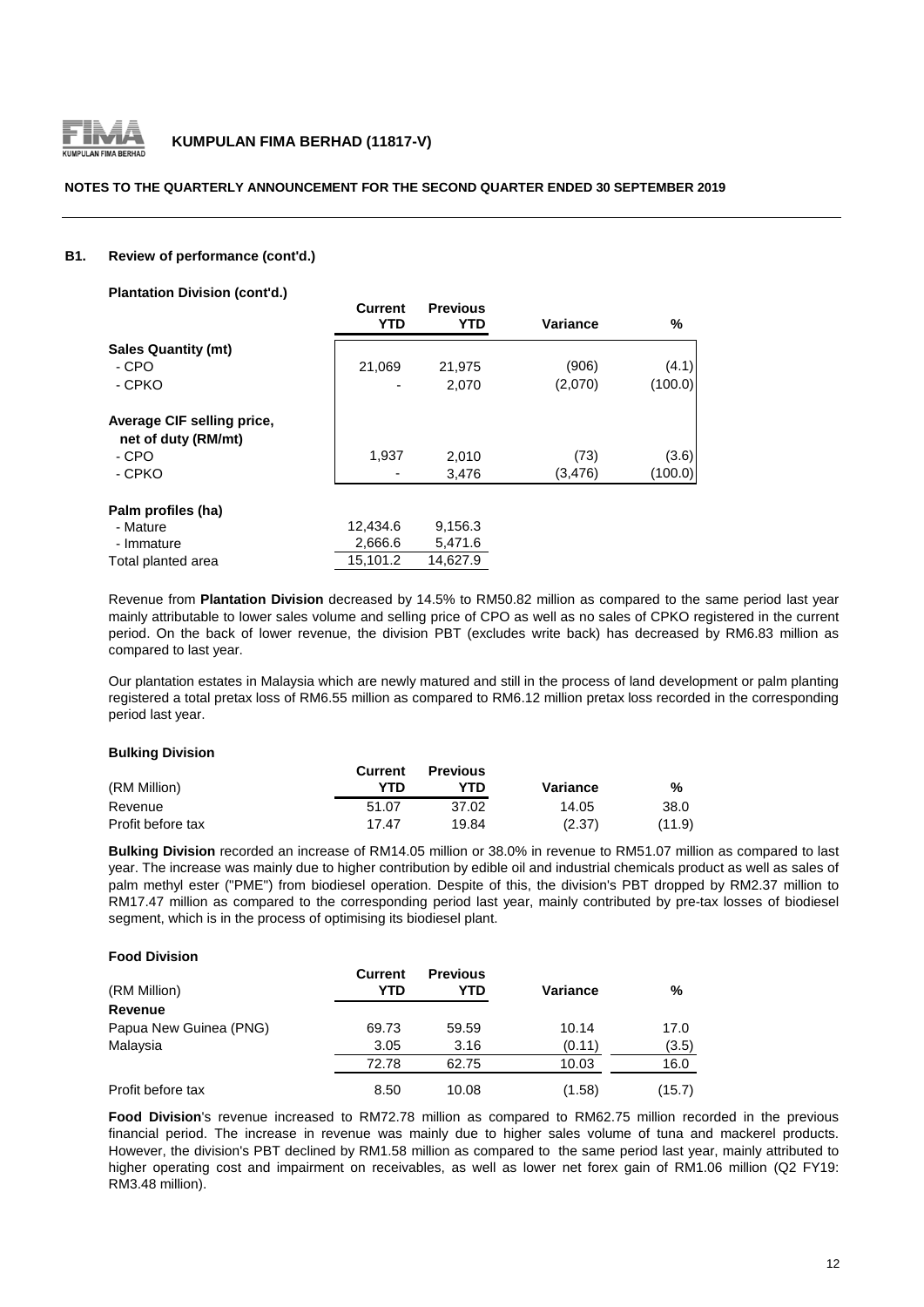

#### **NOTES TO THE QUARTERLY ANNOUNCEMENT FOR THE SECOND QUARTER ENDED 30 SEPTEMBER 2019**

#### **B1. Review of performance (cont'd.)**

**Plantation Division (cont'd.)**

| <b>Figure UNISION (COME U.)</b>                   |                |                               |                 |         |
|---------------------------------------------------|----------------|-------------------------------|-----------------|---------|
|                                                   | Current<br>YTD | <b>Previous</b><br><b>YTD</b> | <b>Variance</b> | %       |
| <b>Sales Quantity (mt)</b>                        |                |                               |                 |         |
| - CPO                                             | 21,069         | 21.975                        | (906)           | (4.1)   |
| - CPKO                                            |                | 2.070                         | (2,070)         | (100.0) |
| Average CIF selling price,<br>net of duty (RM/mt) |                |                               |                 |         |
| - CPO                                             | 1,937          | 2.010                         | (73)            | (3.6)   |
| - CPKO                                            |                | 3,476                         | (3, 476)        | (100.0) |
| Palm profiles (ha)                                |                |                               |                 |         |
| - Mature                                          | 12,434.6       | 9,156.3                       |                 |         |
| - Immature                                        | 2,666.6        | 5,471.6                       |                 |         |
| Total planted area                                | 15,101.2       | 14,627.9                      |                 |         |

Revenue from **Plantation Division** decreased by 14.5% to RM50.82 million as compared to the same period last year mainly attributable to lower sales volume and selling price of CPO as well as no sales of CPKO registered in the current period. On the back of lower revenue, the division PBT (excludes write back) has decreased by RM6.83 million as compared to last year.

Our plantation estates in Malaysia which are newly matured and still in the process of land development or palm planting registered a total pretax loss of RM6.55 million as compared to RM6.12 million pretax loss recorded in the corresponding period last year.

#### **Bulking Division**

|                   | Current | <b>Previous</b> |          |        |
|-------------------|---------|-----------------|----------|--------|
| (RM Million)      | YTD     | YTD             | Variance | %      |
| Revenue           | 51.07   | 37.02           | 14.05    | 38.0   |
| Profit before tax | 17.47   | 19.84           | (2.37)   | (11.9) |

**Bulking Division** recorded an increase of RM14.05 million or 38.0% in revenue to RM51.07 million as compared to last year. The increase was mainly due to higher contribution by edible oil and industrial chemicals product as well as sales of palm methyl ester ("PME") from biodiesel operation. Despite of this, the division's PBT dropped by RM2.37 million to RM17.47 million as compared to the corresponding period last year, mainly contributed by pre-tax losses of biodiesel segment, which is in the process of optimising its biodiesel plant.

#### **Food Division**

| (RM Million)           | <b>Current</b><br>YTD | <b>Previous</b><br>YTD | <b>Variance</b> | %      |
|------------------------|-----------------------|------------------------|-----------------|--------|
| Revenue                |                       |                        |                 |        |
| Papua New Guinea (PNG) | 69.73                 | 59.59                  | 10.14           | 17.0   |
| Malaysia               | 3.05                  | 3.16                   | (0.11)          | (3.5)  |
|                        | 72.78                 | 62.75                  | 10.03           | 16.0   |
| Profit before tax      | 8.50                  | 10.08                  | (1.58)          | (15.7) |

**Food Division**'s revenue increased to RM72.78 million as compared to RM62.75 million recorded in the previous financial period. The increase in revenue was mainly due to higher sales volume of tuna and mackerel products. However, the division's PBT declined by RM1.58 million as compared to the same period last year, mainly attributed to higher operating cost and impairment on receivables, as well as lower net forex gain of RM1.06 million (Q2 FY19: RM3.48 million).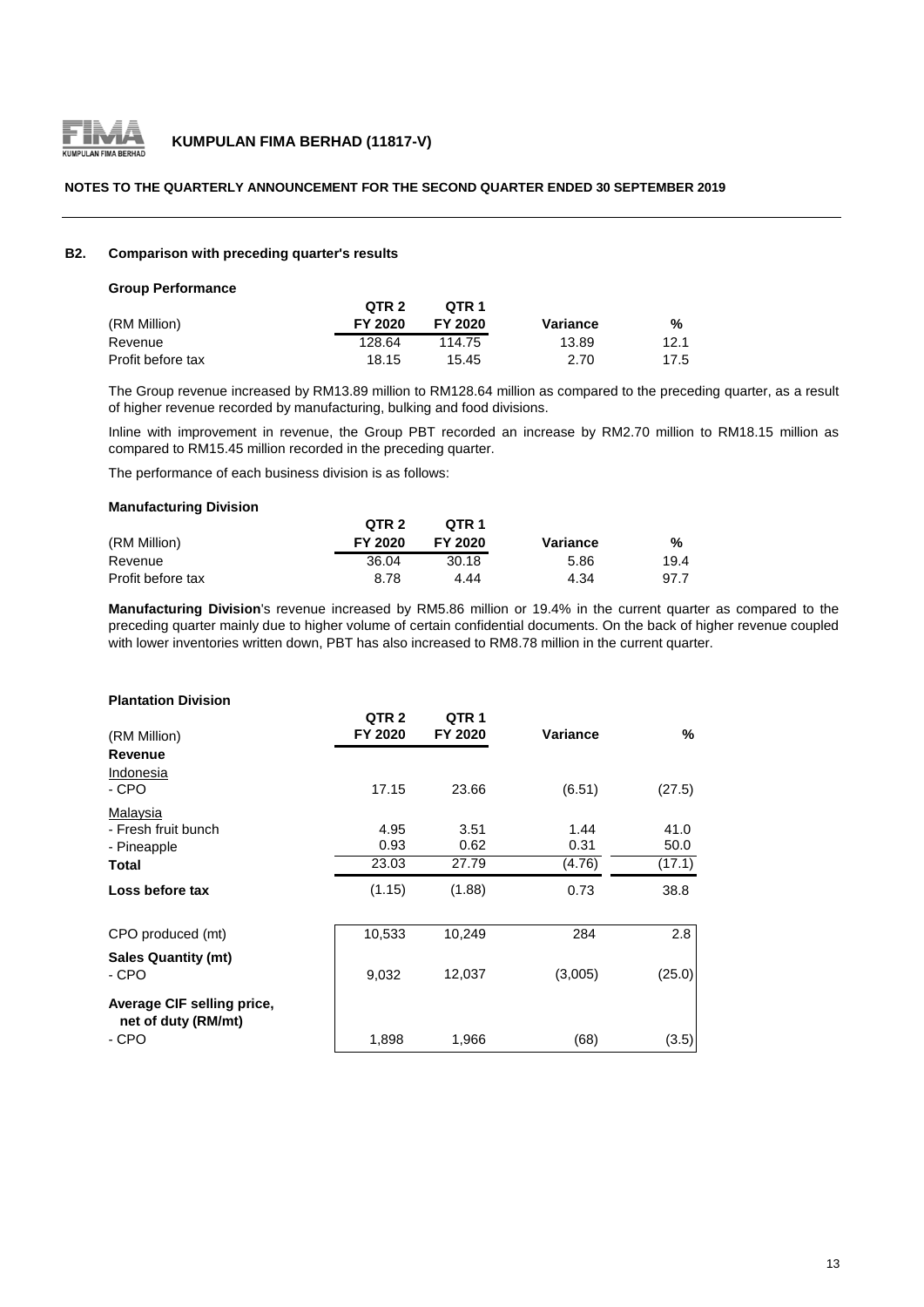

#### **NOTES TO THE QUARTERLY ANNOUNCEMENT FOR THE SECOND QUARTER ENDED 30 SEPTEMBER 2019**

#### **B2. Comparison with preceding quarter's results**

#### **Group Performance**

|                   | QTR 2   | OTR 1   |          |      |
|-------------------|---------|---------|----------|------|
| (RM Million)      | FY 2020 | FY 2020 | Variance | %    |
| Revenue           | 128.64  | 114.75  | 13.89    | 12.1 |
| Profit before tax | 18.15   | 15.45   | 2.70     | 17.5 |

The Group revenue increased by RM13.89 million to RM128.64 million as compared to the preceding quarter, as a result of higher revenue recorded by manufacturing, bulking and food divisions.

Inline with improvement in revenue, the Group PBT recorded an increase by RM2.70 million to RM18.15 million as compared to RM15.45 million recorded in the preceding quarter.

The performance of each business division is as follows:

#### **Manufacturing Division**

|                   | QTR <sub>2</sub> | OTR 1   |          |      |
|-------------------|------------------|---------|----------|------|
| (RM Million)      | FY 2020          | FY 2020 | Variance | %    |
| Revenue           | 36.04            | 30.18   | 5.86     | 19.4 |
| Profit before tax | 8.78             | 4.44    | 4.34     | 97.7 |

**Manufacturing Division**'s revenue increased by RM5.86 million or 19.4% in the current quarter as compared to the preceding quarter mainly due to higher volume of certain confidential documents. On the back of higher revenue coupled with lower inventories written down, PBT has also increased to RM8.78 million in the current quarter.

#### **Plantation Division**

| (RM Million)                                      | QTR <sub>2</sub><br>FY 2020 | QTR <sub>1</sub><br>FY 2020 | Variance | %      |
|---------------------------------------------------|-----------------------------|-----------------------------|----------|--------|
| Revenue                                           |                             |                             |          |        |
| Indonesia                                         |                             |                             |          |        |
| - CPO                                             | 17.15                       | 23.66                       | (6.51)   | (27.5) |
| Malaysia                                          |                             |                             |          |        |
| - Fresh fruit bunch                               | 4.95                        | 3.51                        | 1.44     | 41.0   |
| - Pineapple                                       | 0.93                        | 0.62                        | 0.31     | 50.0   |
| Total                                             | 23.03                       | 27.79                       | (4.76)   | (17.1) |
| Loss before tax                                   | (1.15)                      | (1.88)                      | 0.73     | 38.8   |
| CPO produced (mt)                                 | 10,533                      | 10,249                      | 284      | 2.8    |
| <b>Sales Quantity (mt)</b>                        |                             | 12,037                      |          |        |
| - CPO                                             | 9,032                       |                             | (3,005)  | (25.0) |
| Average CIF selling price,<br>net of duty (RM/mt) |                             |                             |          |        |
| - CPO                                             | 1,898                       | 1,966                       | (68)     | (3.5)  |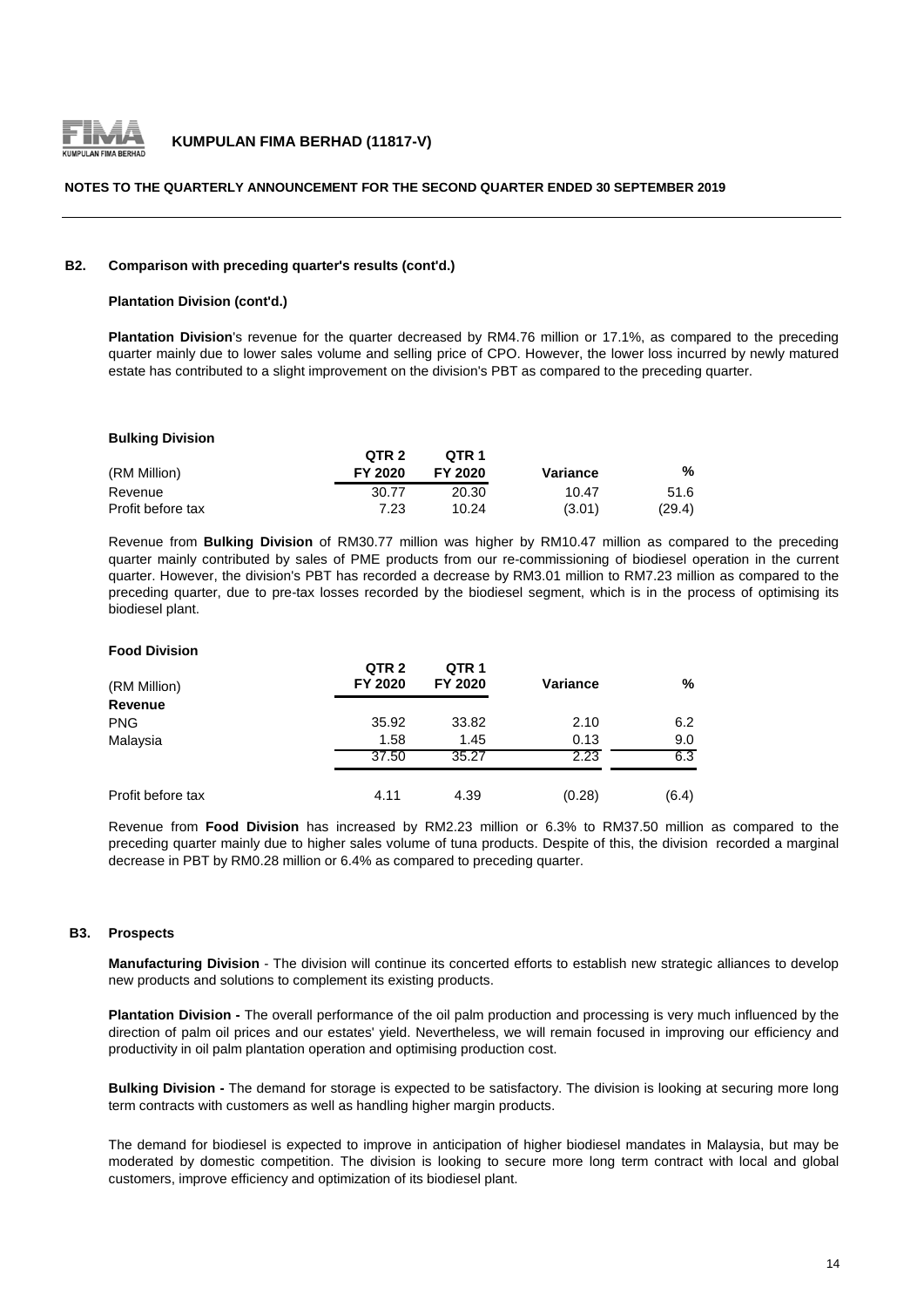

#### **NOTES TO THE QUARTERLY ANNOUNCEMENT FOR THE SECOND QUARTER ENDED 30 SEPTEMBER 2019**

#### **B2. Comparison with preceding quarter's results (cont'd.)**

#### **Plantation Division (cont'd.)**

**Plantation Division**'s revenue for the quarter decreased by RM4.76 million or 17.1%, as compared to the preceding quarter mainly due to lower sales volume and selling price of CPO. However, the lower loss incurred by newly matured estate has contributed to a slight improvement on the division's PBT as compared to the preceding quarter.

#### **Bulking Division**

|                   | QTR <sub>2</sub> | OTR <sub>1</sub> |          |        |
|-------------------|------------------|------------------|----------|--------|
| (RM Million)      | FY 2020          | FY 2020          | Variance | %      |
| Revenue           | 30.77            | 20.30            | 10.47    | 51.6   |
| Profit before tax | 7.23             | 10.24            | (3.01)   | (29.4) |

Revenue from **Bulking Division** of RM30.77 million was higher by RM10.47 million as compared to the preceding quarter mainly contributed by sales of PME products from our re-commissioning of biodiesel operation in the current quarter. However, the division's PBT has recorded a decrease by RM3.01 million to RM7.23 million as compared to the preceding quarter, due to pre-tax losses recorded by the biodiesel segment, which is in the process of optimising its biodiesel plant.

#### **Food Division**

| (RM Million)      | QTR <sub>2</sub><br>FY 2020 | QTR <sub>1</sub><br>FY 2020 | <b>Variance</b> | %     |
|-------------------|-----------------------------|-----------------------------|-----------------|-------|
| <b>Revenue</b>    |                             |                             |                 |       |
| <b>PNG</b>        | 35.92                       | 33.82                       | 2.10            | 6.2   |
| Malaysia          | 1.58                        | 1.45                        | 0.13            | 9.0   |
|                   | 37.50                       | 35.27                       | 2.23            | 6.3   |
| Profit before tax | 4.11                        | 4.39                        | (0.28)          | (6.4) |

Revenue from **Food Division** has increased by RM2.23 million or 6.3% to RM37.50 million as compared to the preceding quarter mainly due to higher sales volume of tuna products. Despite of this, the division recorded a marginal decrease in PBT by RM0.28 million or 6.4% as compared to preceding quarter.

#### **B3. Prospects**

**Manufacturing Division** - The division will continue its concerted efforts to establish new strategic alliances to develop new products and solutions to complement its existing products.

**Plantation Division -** The overall performance of the oil palm production and processing is very much influenced by the direction of palm oil prices and our estates' yield. Nevertheless, we will remain focused in improving our efficiency and productivity in oil palm plantation operation and optimising production cost.

**Bulking Division -** The demand for storage is expected to be satisfactory. The division is looking at securing more long term contracts with customers as well as handling higher margin products.

The demand for biodiesel is expected to improve in anticipation of higher biodiesel mandates in Malaysia, but may be moderated by domestic competition. The division is looking to secure more long term contract with local and global customers, improve efficiency and optimization of its biodiesel plant.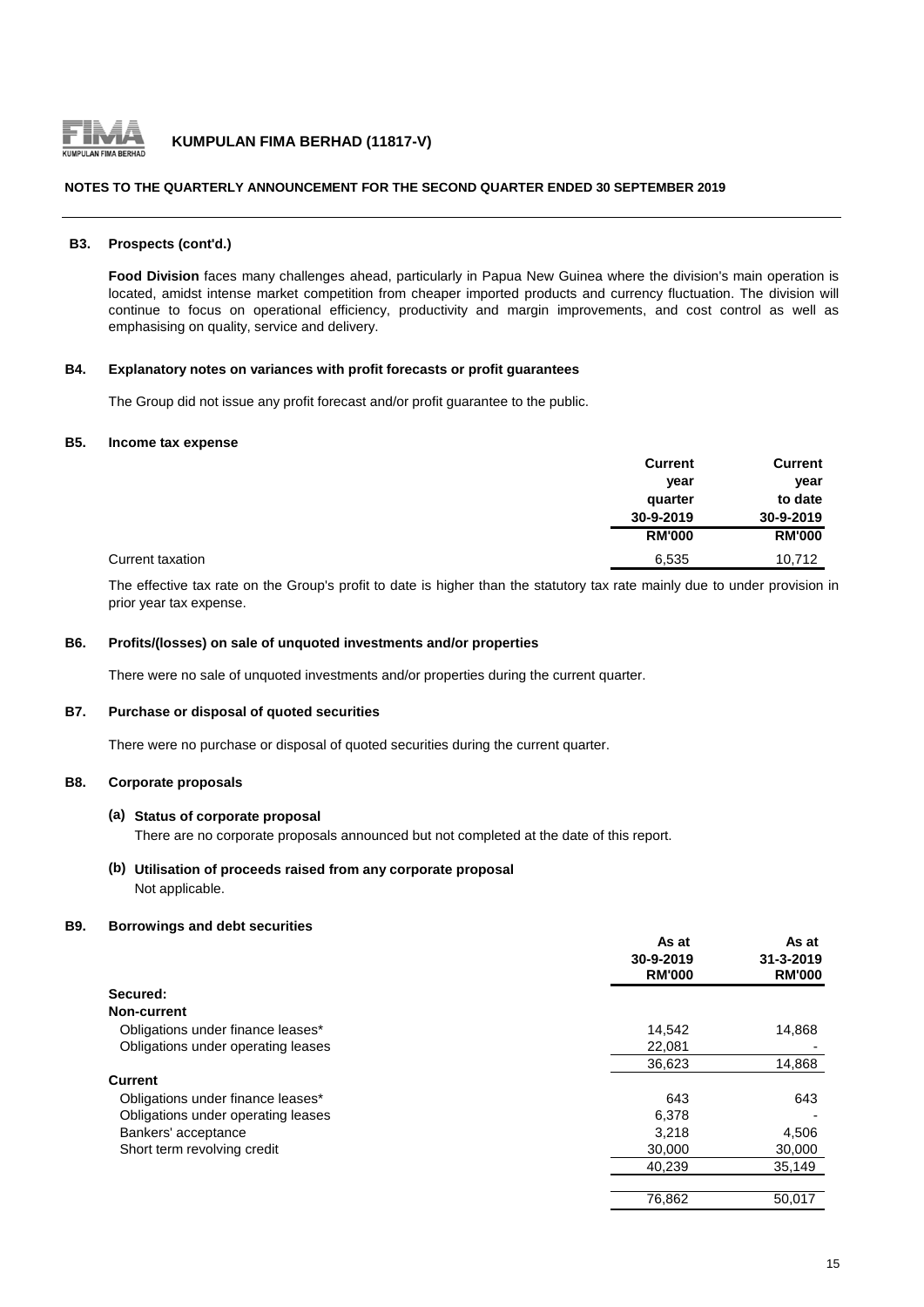

#### **NOTES TO THE QUARTERLY ANNOUNCEMENT FOR THE SECOND QUARTER ENDED 30 SEPTEMBER 2019**

#### **B3. Prospects (cont'd.)**

**Food Division** faces many challenges ahead, particularly in Papua New Guinea where the division's main operation is located, amidst intense market competition from cheaper imported products and currency fluctuation. The division will continue to focus on operational efficiency, productivity and margin improvements, and cost control as well as emphasising on quality, service and delivery.

#### **B4. Explanatory notes on variances with profit forecasts or profit guarantees**

The Group did not issue any profit forecast and/or profit guarantee to the public.

#### **B5. Income tax expense**

|                  | <b>Current</b> | <b>Current</b> |
|------------------|----------------|----------------|
|                  | year           | year           |
|                  | quarter        | to date        |
|                  | 30-9-2019      | 30-9-2019      |
|                  | <b>RM'000</b>  | <b>RM'000</b>  |
| Current taxation | 6,535          | 10,712         |

The effective tax rate on the Group's profit to date is higher than the statutory tax rate mainly due to under provision in prior year tax expense.

#### **B6. Profits/(losses) on sale of unquoted investments and/or properties**

There were no sale of unquoted investments and/or properties during the current quarter.

#### **B7. Purchase or disposal of quoted securities**

There were no purchase or disposal of quoted securities during the current quarter.

### **B8. Corporate proposals**

#### **(a) Status of corporate proposal**

There are no corporate proposals announced but not completed at the date of this report.

#### **(b) Utilisation of proceeds raised from any corporate proposal** Not applicable.

#### **B9. Borrowings and debt securities**

|                                    | As at         | As at           |
|------------------------------------|---------------|-----------------|
|                                    | 30-9-2019     | $31 - 3 - 2019$ |
|                                    | <b>RM'000</b> | <b>RM'000</b>   |
| Secured:                           |               |                 |
| Non-current                        |               |                 |
| Obligations under finance leases*  | 14,542        | 14,868          |
| Obligations under operating leases | 22,081        |                 |
|                                    | 36,623        | 14,868          |
| <b>Current</b>                     |               |                 |
| Obligations under finance leases*  | 643           | 643             |
| Obligations under operating leases | 6,378         |                 |
| Bankers' acceptance                | 3,218         | 4,506           |
| Short term revolving credit        | 30,000        | 30,000          |
|                                    | 40,239        | 35,149          |
|                                    |               |                 |
|                                    | 76,862        | 50,017          |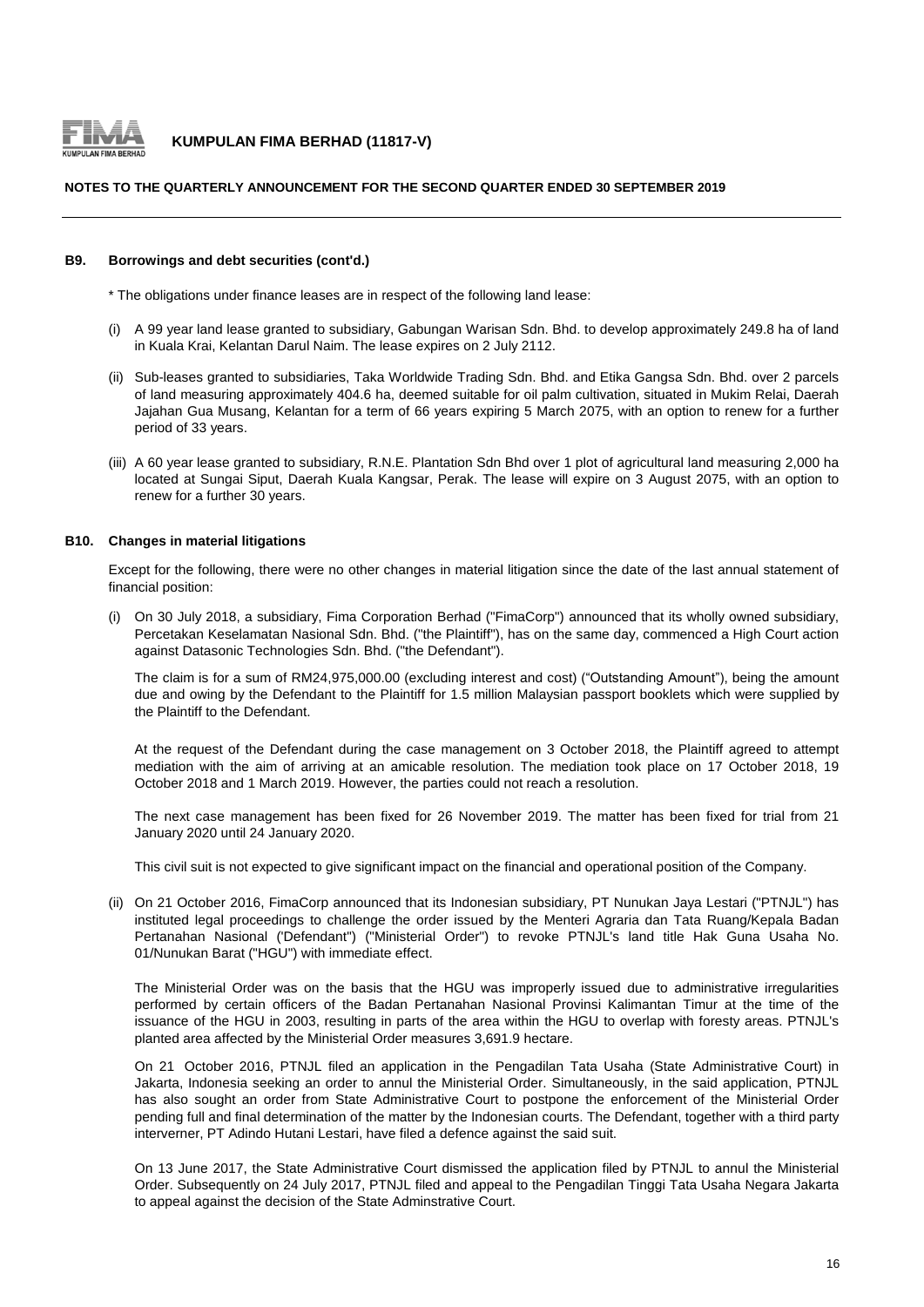

#### **NOTES TO THE QUARTERLY ANNOUNCEMENT FOR THE SECOND QUARTER ENDED 30 SEPTEMBER 2019**

#### **B9. Borrowings and debt securities (cont'd.)**

\* The obligations under finance leases are in respect of the following land lease:

- (i) A 99 year land lease granted to subsidiary, Gabungan Warisan Sdn. Bhd. to develop approximately 249.8 ha of land in Kuala Krai, Kelantan Darul Naim. The lease expires on 2 July 2112.
- (ii) Sub-leases granted to subsidiaries, Taka Worldwide Trading Sdn. Bhd. and Etika Gangsa Sdn. Bhd. over 2 parcels of land measuring approximately 404.6 ha, deemed suitable for oil palm cultivation, situated in Mukim Relai, Daerah Jajahan Gua Musang, Kelantan for a term of 66 years expiring 5 March 2075, with an option to renew for a further period of 33 years.
- (iii) A 60 year lease granted to subsidiary, R.N.E. Plantation Sdn Bhd over 1 plot of agricultural land measuring 2,000 ha located at Sungai Siput, Daerah Kuala Kangsar, Perak. The lease will expire on 3 August 2075, with an option to renew for a further 30 years.

#### **B10. Changes in material litigations**

Except for the following, there were no other changes in material litigation since the date of the last annual statement of financial position:

(i) On 30 July 2018, a subsidiary, Fima Corporation Berhad ("FimaCorp") announced that its wholly owned subsidiary, Percetakan Keselamatan Nasional Sdn. Bhd. ("the Plaintiff"), has on the same day, commenced a High Court action against Datasonic Technologies Sdn. Bhd. ("the Defendant").

The claim is for a sum of RM24,975,000.00 (excluding interest and cost) ("Outstanding Amount"), being the amount due and owing by the Defendant to the Plaintiff for 1.5 million Malaysian passport booklets which were supplied by the Plaintiff to the Defendant.

At the request of the Defendant during the case management on 3 October 2018, the Plaintiff agreed to attempt mediation with the aim of arriving at an amicable resolution. The mediation took place on 17 October 2018, 19 October 2018 and 1 March 2019. However, the parties could not reach a resolution.

The next case management has been fixed for 26 November 2019. The matter has been fixed for trial from 21 January 2020 until 24 January 2020.

This civil suit is not expected to give significant impact on the financial and operational position of the Company.

(ii) On 21 October 2016, FimaCorp announced that its Indonesian subsidiary, PT Nunukan Jaya Lestari ("PTNJL") has instituted legal proceedings to challenge the order issued by the Menteri Agraria dan Tata Ruang/Kepala Badan Pertanahan Nasional ('Defendant") ("Ministerial Order") to revoke PTNJL's land title Hak Guna Usaha No. 01/Nunukan Barat ("HGU") with immediate effect.

The Ministerial Order was on the basis that the HGU was improperly issued due to administrative irregularities performed by certain officers of the Badan Pertanahan Nasional Provinsi Kalimantan Timur at the time of the issuance of the HGU in 2003, resulting in parts of the area within the HGU to overlap with foresty areas. PTNJL's planted area affected by the Ministerial Order measures 3,691.9 hectare.

On 21 October 2016, PTNJL filed an application in the Pengadilan Tata Usaha (State Administrative Court) in Jakarta, Indonesia seeking an order to annul the Ministerial Order. Simultaneously, in the said application, PTNJL has also sought an order from State Administrative Court to postpone the enforcement of the Ministerial Order pending full and final determination of the matter by the Indonesian courts. The Defendant, together with a third party interverner, PT Adindo Hutani Lestari, have filed a defence against the said suit.

On 13 June 2017, the State Administrative Court dismissed the application filed by PTNJL to annul the Ministerial Order. Subsequently on 24 July 2017, PTNJL filed and appeal to the Pengadilan Tinggi Tata Usaha Negara Jakarta to appeal against the decision of the State Adminstrative Court.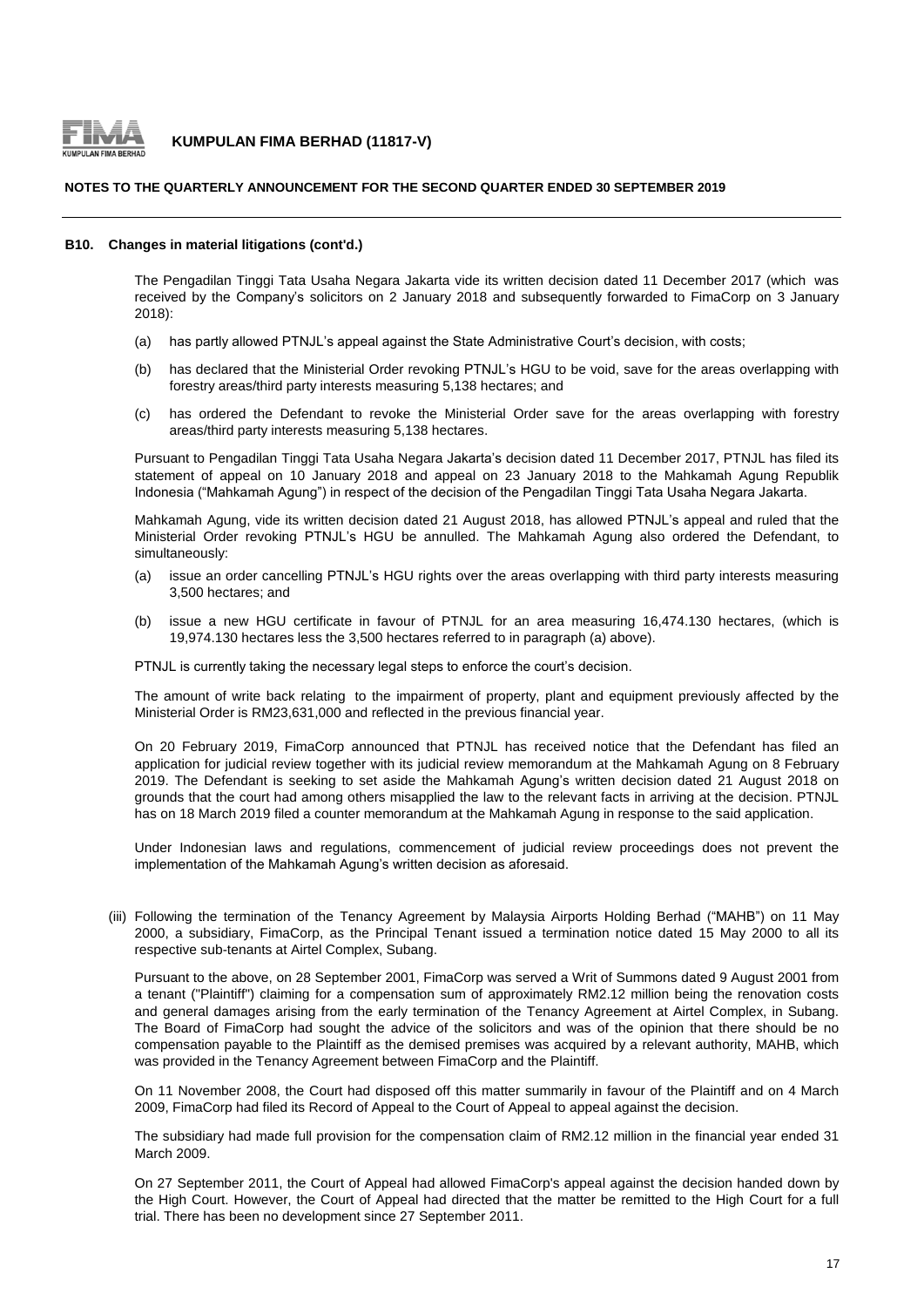

#### **NOTES TO THE QUARTERLY ANNOUNCEMENT FOR THE SECOND QUARTER ENDED 30 SEPTEMBER 2019**

#### **B10. Changes in material litigations (cont'd.)**

The Pengadilan Tinggi Tata Usaha Negara Jakarta vide its written decision dated 11 December 2017 (which was received by the Company's solicitors on 2 January 2018 and subsequently forwarded to FimaCorp on 3 January 2018):

- (a) has partly allowed PTNJL's appeal against the State Administrative Court's decision, with costs;
- (b) has declared that the Ministerial Order revoking PTNJL's HGU to be void, save for the areas overlapping with forestry areas/third party interests measuring 5,138 hectares; and
- $(c)$ has ordered the Defendant to revoke the Ministerial Order save for the areas overlapping with forestry areas/third party interests measuring 5,138 hectares.

Pursuant to Pengadilan Tinggi Tata Usaha Negara Jakarta's decision dated 11 December 2017, PTNJL has filed its statement of appeal on 10 January 2018 and appeal on 23 January 2018 to the Mahkamah Agung Republik Indonesia ("Mahkamah Agung") in respect of the decision of the Pengadilan Tinggi Tata Usaha Negara Jakarta.

Mahkamah Agung, vide its written decision dated 21 August 2018, has allowed PTNJL's appeal and ruled that the Ministerial Order revoking PTNJL's HGU be annulled. The Mahkamah Agung also ordered the Defendant, to simultaneously:

- $(a)$ issue an order cancelling PTNJL's HGU rights over the areas overlapping with third party interests measuring 3,500 hectares; and
- (b) issue a new HGU certificate in favour of PTNJL for an area measuring 16,474.130 hectares, (which is 19,974.130 hectares less the 3,500 hectares referred to in paragraph (a) above).

PTNJL is currently taking the necessary legal steps to enforce the court's decision.

The amount of write back relating to the impairment of property, plant and equipment previously affected by the Ministerial Order is RM23,631,000 and reflected in the previous financial year.

On 20 February 2019, FimaCorp announced that PTNJL has received notice that the Defendant has filed an application for judicial review together with its judicial review memorandum at the Mahkamah Agung on 8 February 2019. The Defendant is seeking to set aside the Mahkamah Agung's written decision dated 21 August 2018 on grounds that the court had among others misapplied the law to the relevant facts in arriving at the decision. PTNJL has on 18 March 2019 filed a counter memorandum at the Mahkamah Agung in response to the said application.

Under Indonesian laws and regulations, commencement of judicial review proceedings does not prevent the implementation of the Mahkamah Agung's written decision as aforesaid.

(iii) Following the termination of the Tenancy Agreement by Malaysia Airports Holding Berhad ("MAHB") on 11 May 2000, a subsidiary, FimaCorp, as the Principal Tenant issued a termination notice dated 15 May 2000 to all its respective sub-tenants at Airtel Complex, Subang.

Pursuant to the above, on 28 September 2001, FimaCorp was served a Writ of Summons dated 9 August 2001 from a tenant ("Plaintiff") claiming for a compensation sum of approximately RM2.12 million being the renovation costs and general damages arising from the early termination of the Tenancy Agreement at Airtel Complex, in Subang. The Board of FimaCorp had sought the advice of the solicitors and was of the opinion that there should be no compensation payable to the Plaintiff as the demised premises was acquired by a relevant authority, MAHB, which was provided in the Tenancy Agreement between FimaCorp and the Plaintiff.

On 11 November 2008, the Court had disposed off this matter summarily in favour of the Plaintiff and on 4 March 2009, FimaCorp had filed its Record of Appeal to the Court of Appeal to appeal against the decision.

The subsidiary had made full provision for the compensation claim of RM2.12 million in the financial year ended 31 March 2009.

On 27 September 2011, the Court of Appeal had allowed FimaCorp's appeal against the decision handed down by the High Court. However, the Court of Appeal had directed that the matter be remitted to the High Court for a full trial. There has been no development since 27 September 2011.